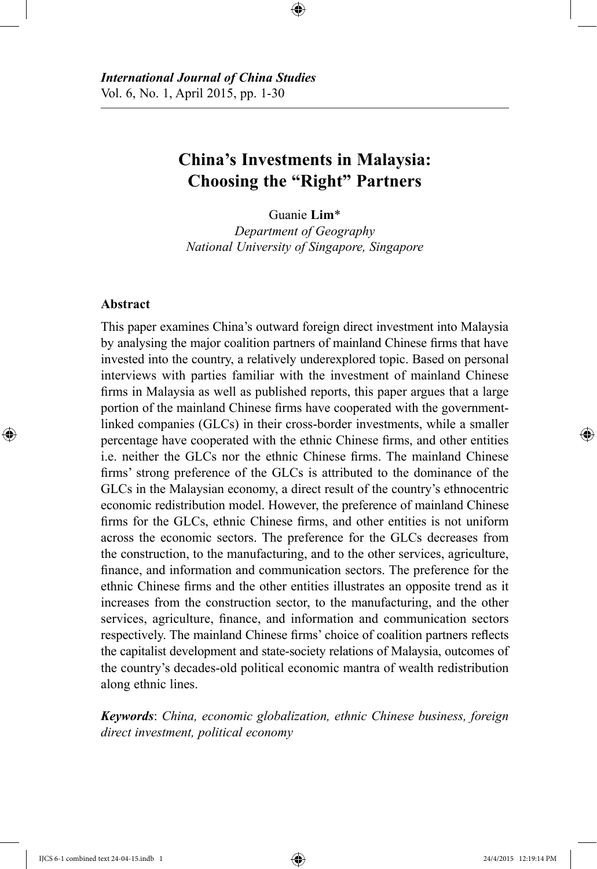# **China's Investments in Malaysia: Choosing the "Right" Partners**

Guanie **Lim**\*

*Department of Geography National University of Singapore, Singapore*

### **Abstract**

This paper examines China's outward foreign direct investment into Malaysia by analysing the major coalition partners of mainland Chinese firms that have invested into the country, a relatively underexplored topic. Based on personal interviews with parties familiar with the investment of mainland Chinese firms in Malaysia as well as published reports, this paper argues that a large portion of the mainland Chinese firms have cooperated with the governmentlinked companies (GLCs) in their cross-border investments, while a smaller percentage have cooperated with the ethnic Chinese firms, and other entities i.e. neither the GLCs nor the ethnic Chinese firms. The mainland Chinese firms' strong preference of the GLCs is attributed to the dominance of the GLCs in the Malaysian economy, a direct result of the country's ethnocentric economic redistribution model. However, the preference of mainland Chinese firms for the GLCs, ethnic Chinese firms, and other entities is not uniform across the economic sectors. The preference for the GLCs decreases from the construction, to the manufacturing, and to the other services, agriculture, finance, and information and communication sectors. The preference for the ethnic Chinese firms and the other entities illustrates an opposite trend as it increases from the construction sector, to the manufacturing, and the other services, agriculture, finance, and information and communication sectors respectively. The mainland Chinese firms' choice of coalition partners reflects the capitalist development and state-society relations of Malaysia, outcomes of the country's decades-old political economic mantra of wealth redistribution along ethnic lines.

*Keywords*: *China, economic globalization, ethnic Chinese business, foreign direct investment, political economy*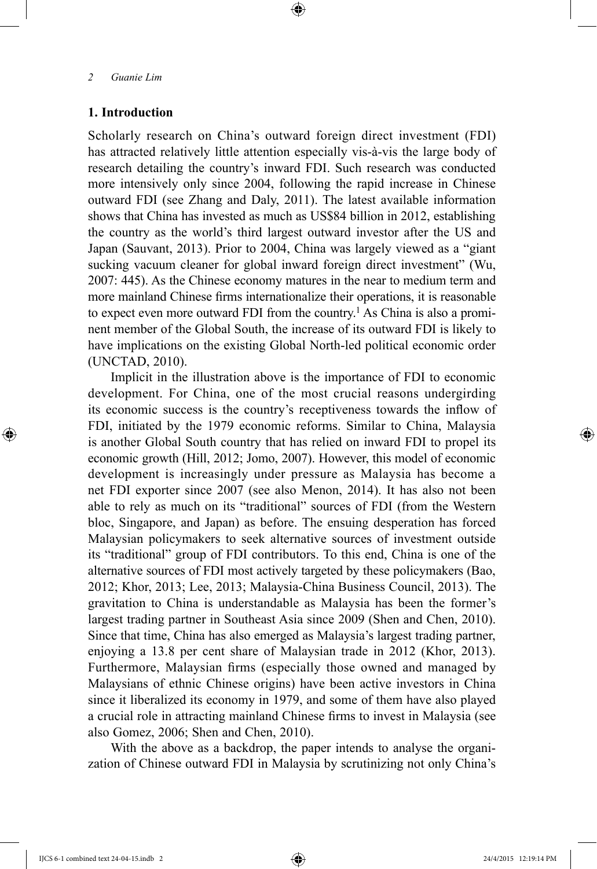# **1. Introduction**

Scholarly research on China's outward foreign direct investment (FDI) has attracted relatively little attention especially vis-à-vis the large body of research detailing the country's inward FDI. Such research was conducted more intensively only since 2004, following the rapid increase in Chinese outward FDI (see Zhang and Daly, 2011). The latest available information shows that China has invested as much as US\$84 billion in 2012, establishing the country as the world's third largest outward investor after the US and Japan (Sauvant, 2013). Prior to 2004, China was largely viewed as a "giant sucking vacuum cleaner for global inward foreign direct investment" (Wu, 2007: 445). As the Chinese economy matures in the near to medium term and more mainland Chinese firms internationalize their operations, it is reasonable to expect even more outward FDI from the country.<sup>1</sup> As China is also a prominent member of the Global South, the increase of its outward FDI is likely to have implications on the existing Global North-led political economic order (UNCTAD, 2010).

Implicit in the illustration above is the importance of FDI to economic development. For China, one of the most crucial reasons undergirding its economic success is the country's receptiveness towards the inflow of FDI, initiated by the 1979 economic reforms. Similar to China, Malaysia is another Global South country that has relied on inward FDI to propel its economic growth (Hill, 2012; Jomo, 2007). However, this model of economic development is increasingly under pressure as Malaysia has become a net FDI exporter since 2007 (see also Menon, 2014). It has also not been able to rely as much on its "traditional" sources of FDI (from the Western bloc, Singapore, and Japan) as before. The ensuing desperation has forced Malaysian policymakers to seek alternative sources of investment outside its "traditional" group of FDI contributors. To this end, China is one of the alternative sources of FDI most actively targeted by these policymakers (Bao, 2012; Khor, 2013; Lee, 2013; Malaysia-China Business Council, 2013). The gravitation to China is understandable as Malaysia has been the former's largest trading partner in Southeast Asia since 2009 (Shen and Chen, 2010). Since that time, China has also emerged as Malaysia's largest trading partner, enjoying a 13.8 per cent share of Malaysian trade in 2012 (Khor, 2013). Furthermore, Malaysian firms (especially those owned and managed by Malaysians of ethnic Chinese origins) have been active investors in China since it liberalized its economy in 1979, and some of them have also played a crucial role in attracting mainland Chinese firms to invest in Malaysia (see also Gomez, 2006; Shen and Chen, 2010).

With the above as a backdrop, the paper intends to analyse the organization of Chinese outward FDI in Malaysia by scrutinizing not only China's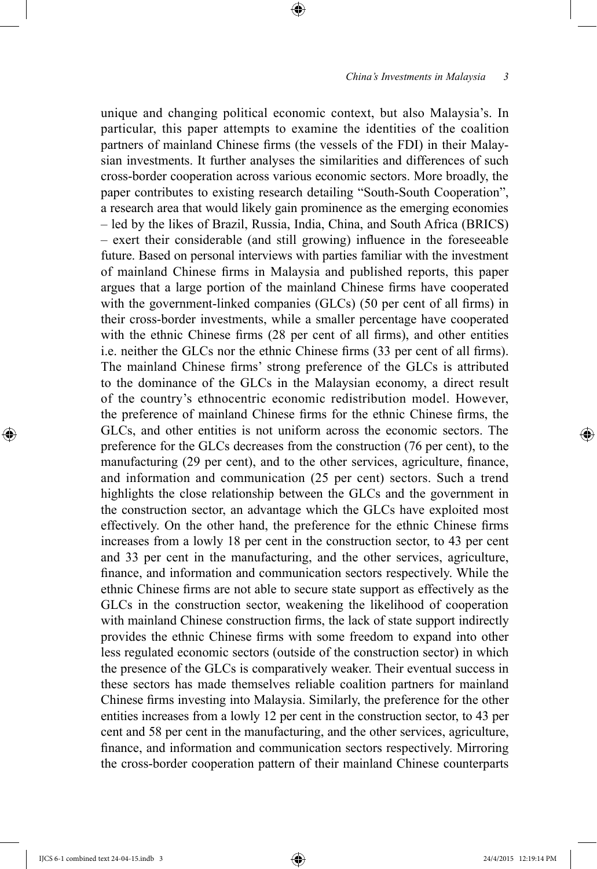unique and changing political economic context, but also Malaysia's. In particular, this paper attempts to examine the identities of the coalition partners of mainland Chinese firms (the vessels of the FDI) in their Malaysian investments. It further analyses the similarities and differences of such cross-border cooperation across various economic sectors. More broadly, the paper contributes to existing research detailing "South-South Cooperation", a research area that would likely gain prominence as the emerging economies – led by the likes of Brazil, Russia, India, China, and South Africa (BRICS) – exert their considerable (and still growing) influence in the foreseeable future. Based on personal interviews with parties familiar with the investment of mainland Chinese firms in Malaysia and published reports, this paper argues that a large portion of the mainland Chinese firms have cooperated with the government-linked companies (GLCs) (50 per cent of all firms) in their cross-border investments, while a smaller percentage have cooperated with the ethnic Chinese firms (28 per cent of all firms), and other entities i.e. neither the GLCs nor the ethnic Chinese firms (33 per cent of all firms). The mainland Chinese firms' strong preference of the GLCs is attributed to the dominance of the GLCs in the Malaysian economy, a direct result of the country's ethnocentric economic redistribution model. However, the preference of mainland Chinese firms for the ethnic Chinese firms, the GLCs, and other entities is not uniform across the economic sectors. The preference for the GLCs decreases from the construction (76 per cent), to the manufacturing (29 per cent), and to the other services, agriculture, finance, and information and communication (25 per cent) sectors. Such a trend highlights the close relationship between the GLCs and the government in the construction sector, an advantage which the GLCs have exploited most effectively. On the other hand, the preference for the ethnic Chinese firms increases from a lowly 18 per cent in the construction sector, to 43 per cent and 33 per cent in the manufacturing, and the other services, agriculture, finance, and information and communication sectors respectively. While the ethnic Chinese firms are not able to secure state support as effectively as the GLCs in the construction sector, weakening the likelihood of cooperation with mainland Chinese construction firms, the lack of state support indirectly provides the ethnic Chinese firms with some freedom to expand into other less regulated economic sectors (outside of the construction sector) in which the presence of the GLCs is comparatively weaker. Their eventual success in these sectors has made themselves reliable coalition partners for mainland Chinese firms investing into Malaysia. Similarly, the preference for the other entities increases from a lowly 12 per cent in the construction sector, to 43 per cent and 58 per cent in the manufacturing, and the other services, agriculture, finance, and information and communication sectors respectively. Mirroring the cross-border cooperation pattern of their mainland Chinese counterparts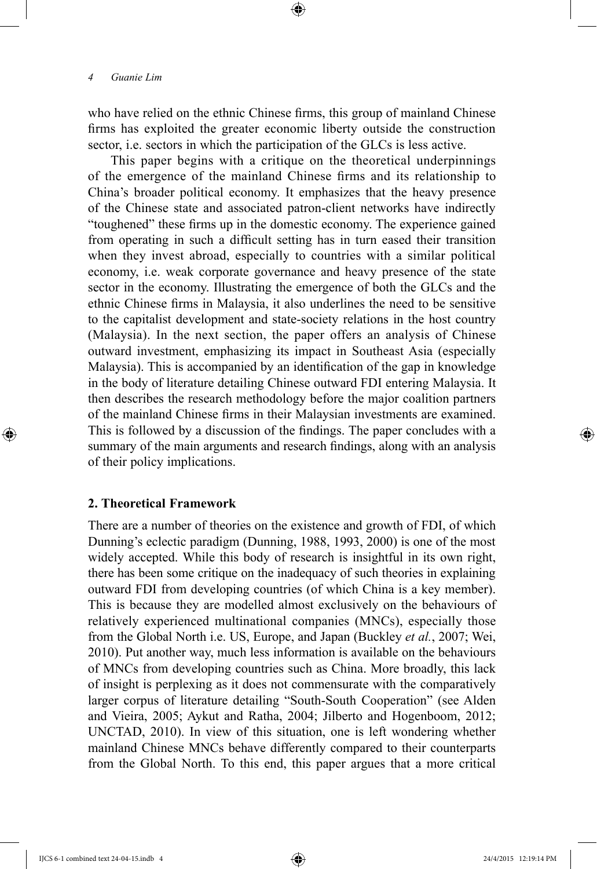who have relied on the ethnic Chinese firms, this group of mainland Chinese firms has exploited the greater economic liberty outside the construction sector, i.e. sectors in which the participation of the GLCs is less active.

This paper begins with a critique on the theoretical underpinnings of the emergence of the mainland Chinese firms and its relationship to China's broader political economy. It emphasizes that the heavy presence of the Chinese state and associated patron-client networks have indirectly "toughened" these firms up in the domestic economy. The experience gained from operating in such a difficult setting has in turn eased their transition when they invest abroad, especially to countries with a similar political economy, i.e. weak corporate governance and heavy presence of the state sector in the economy. Illustrating the emergence of both the GLCs and the ethnic Chinese firms in Malaysia, it also underlines the need to be sensitive to the capitalist development and state-society relations in the host country (Malaysia). In the next section, the paper offers an analysis of Chinese outward investment, emphasizing its impact in Southeast Asia (especially Malaysia). This is accompanied by an identification of the gap in knowledge in the body of literature detailing Chinese outward FDI entering Malaysia. It then describes the research methodology before the major coalition partners of the mainland Chinese firms in their Malaysian investments are examined. This is followed by a discussion of the findings. The paper concludes with a summary of the main arguments and research findings, along with an analysis of their policy implications.

## **2. Theoretical Framework**

There are a number of theories on the existence and growth of FDI, of which Dunning's eclectic paradigm (Dunning, 1988, 1993, 2000) is one of the most widely accepted. While this body of research is insightful in its own right, there has been some critique on the inadequacy of such theories in explaining outward FDI from developing countries (of which China is a key member). This is because they are modelled almost exclusively on the behaviours of relatively experienced multinational companies (MNCs), especially those from the Global North i.e. US, Europe, and Japan (Buckley *et al.*, 2007; Wei, 2010). Put another way, much less information is available on the behaviours of MNCs from developing countries such as China. More broadly, this lack of insight is perplexing as it does not commensurate with the comparatively larger corpus of literature detailing "South-South Cooperation" (see Alden and Vieira, 2005; Aykut and Ratha, 2004; Jilberto and Hogenboom, 2012; UNCTAD, 2010). In view of this situation, one is left wondering whether mainland Chinese MNCs behave differently compared to their counterparts from the Global North. To this end, this paper argues that a more critical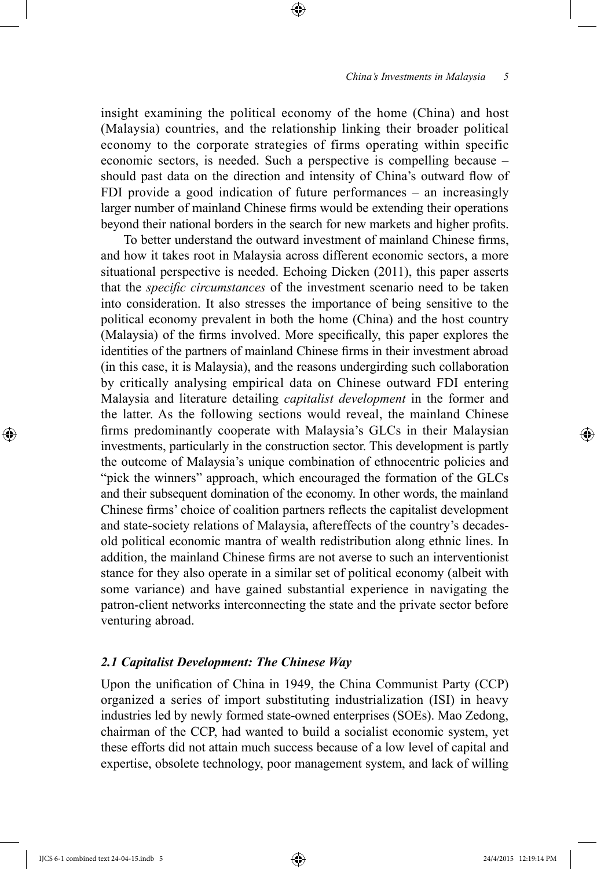insight examining the political economy of the home (China) and host (Malaysia) countries, and the relationship linking their broader political economy to the corporate strategies of firms operating within specific economic sectors, is needed. Such a perspective is compelling because – should past data on the direction and intensity of China's outward flow of FDI provide a good indication of future performances – an increasingly larger number of mainland Chinese firms would be extending their operations beyond their national borders in the search for new markets and higher profits.

To better understand the outward investment of mainland Chinese firms, and how it takes root in Malaysia across different economic sectors, a more situational perspective is needed. Echoing Dicken (2011), this paper asserts that the *specific circumstances* of the investment scenario need to be taken into consideration. It also stresses the importance of being sensitive to the political economy prevalent in both the home (China) and the host country (Malaysia) of the firms involved. More specifically, this paper explores the identities of the partners of mainland Chinese firms in their investment abroad (in this case, it is Malaysia), and the reasons undergirding such collaboration by critically analysing empirical data on Chinese outward FDI entering Malaysia and literature detailing *capitalist development* in the former and the latter. As the following sections would reveal, the mainland Chinese firms predominantly cooperate with Malaysia's GLCs in their Malaysian investments, particularly in the construction sector. This development is partly the outcome of Malaysia's unique combination of ethnocentric policies and "pick the winners" approach, which encouraged the formation of the GLCs and their subsequent domination of the economy. In other words, the mainland Chinese firms' choice of coalition partners reflects the capitalist development and state-society relations of Malaysia, aftereffects of the country's decadesold political economic mantra of wealth redistribution along ethnic lines. In addition, the mainland Chinese firms are not averse to such an interventionist stance for they also operate in a similar set of political economy (albeit with some variance) and have gained substantial experience in navigating the patron-client networks interconnecting the state and the private sector before venturing abroad.

## *2.1 Capitalist Development: The Chinese Way*

Upon the unification of China in 1949, the China Communist Party (CCP) organized a series of import substituting industrialization (ISI) in heavy industries led by newly formed state-owned enterprises (SOEs). Mao Zedong, chairman of the CCP, had wanted to build a socialist economic system, yet these efforts did not attain much success because of a low level of capital and expertise, obsolete technology, poor management system, and lack of willing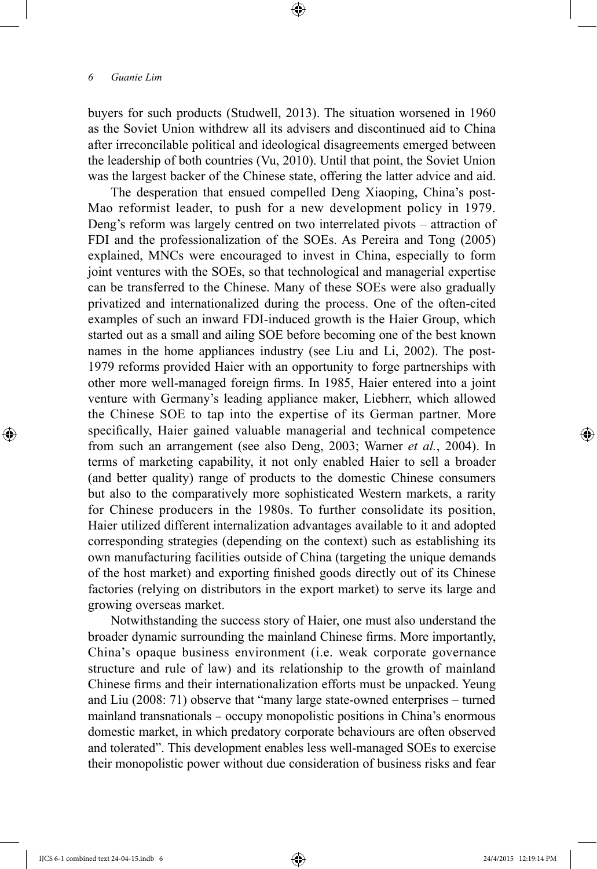buyers for such products (Studwell, 2013). The situation worsened in 1960 as the Soviet Union withdrew all its advisers and discontinued aid to China after irreconcilable political and ideological disagreements emerged between the leadership of both countries (Vu, 2010). Until that point, the Soviet Union was the largest backer of the Chinese state, offering the latter advice and aid.

The desperation that ensued compelled Deng Xiaoping, China's post-Mao reformist leader, to push for a new development policy in 1979. Deng's reform was largely centred on two interrelated pivots – attraction of FDI and the professionalization of the SOEs. As Pereira and Tong (2005) explained, MNCs were encouraged to invest in China, especially to form joint ventures with the SOEs, so that technological and managerial expertise can be transferred to the Chinese. Many of these SOEs were also gradually privatized and internationalized during the process. One of the often-cited examples of such an inward FDI-induced growth is the Haier Group, which started out as a small and ailing SOE before becoming one of the best known names in the home appliances industry (see Liu and Li, 2002). The post-1979 reforms provided Haier with an opportunity to forge partnerships with other more well-managed foreign firms. In 1985, Haier entered into a joint venture with Germany's leading appliance maker, Liebherr, which allowed the Chinese SOE to tap into the expertise of its German partner. More specifically, Haier gained valuable managerial and technical competence from such an arrangement (see also Deng, 2003; Warner *et al.*, 2004). In terms of marketing capability, it not only enabled Haier to sell a broader (and better quality) range of products to the domestic Chinese consumers but also to the comparatively more sophisticated Western markets, a rarity for Chinese producers in the 1980s. To further consolidate its position, Haier utilized different internalization advantages available to it and adopted corresponding strategies (depending on the context) such as establishing its own manufacturing facilities outside of China (targeting the unique demands of the host market) and exporting finished goods directly out of its Chinese factories (relying on distributors in the export market) to serve its large and growing overseas market.

Notwithstanding the success story of Haier, one must also understand the broader dynamic surrounding the mainland Chinese firms. More importantly, China's opaque business environment (i.e. weak corporate governance structure and rule of law) and its relationship to the growth of mainland Chinese firms and their internationalization efforts must be unpacked. Yeung and Liu (2008: 71) observe that "many large state-owned enterprises – turned mainland transnationals – occupy monopolistic positions in China's enormous domestic market, in which predatory corporate behaviours are often observed and tolerated". This development enables less well-managed SOEs to exercise their monopolistic power without due consideration of business risks and fear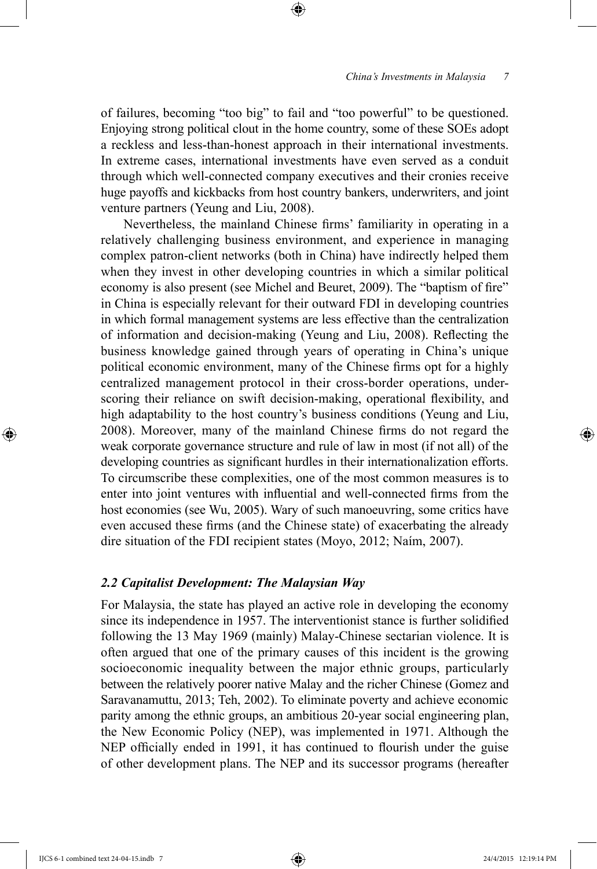of failures, becoming "too big" to fail and "too powerful" to be questioned. Enjoying strong political clout in the home country, some of these SOEs adopt a reckless and less-than-honest approach in their international investments. In extreme cases, international investments have even served as a conduit through which well-connected company executives and their cronies receive huge payoffs and kickbacks from host country bankers, underwriters, and joint venture partners (Yeung and Liu, 2008).

Nevertheless, the mainland Chinese firms' familiarity in operating in a relatively challenging business environment, and experience in managing complex patron-client networks (both in China) have indirectly helped them when they invest in other developing countries in which a similar political economy is also present (see Michel and Beuret, 2009). The "baptism of fire" in China is especially relevant for their outward FDI in developing countries in which formal management systems are less effective than the centralization of information and decision-making (Yeung and Liu, 2008). Reflecting the business knowledge gained through years of operating in China's unique political economic environment, many of the Chinese firms opt for a highly centralized management protocol in their cross-border operations, underscoring their reliance on swift decision-making, operational flexibility, and high adaptability to the host country's business conditions (Yeung and Liu, 2008). Moreover, many of the mainland Chinese firms do not regard the weak corporate governance structure and rule of law in most (if not all) of the developing countries as significant hurdles in their internationalization efforts. To circumscribe these complexities, one of the most common measures is to enter into joint ventures with influential and well-connected firms from the host economies (see Wu, 2005). Wary of such manoeuvring, some critics have even accused these firms (and the Chinese state) of exacerbating the already dire situation of the FDI recipient states (Moyo, 2012; Naím, 2007).

### *2.2 Capitalist Development: The Malaysian Way*

For Malaysia, the state has played an active role in developing the economy since its independence in 1957. The interventionist stance is further solidified following the 13 May 1969 (mainly) Malay-Chinese sectarian violence. It is often argued that one of the primary causes of this incident is the growing socioeconomic inequality between the major ethnic groups, particularly between the relatively poorer native Malay and the richer Chinese (Gomez and Saravanamuttu, 2013; Teh, 2002). To eliminate poverty and achieve economic parity among the ethnic groups, an ambitious 20-year social engineering plan, the New Economic Policy (NEP), was implemented in 1971. Although the NEP officially ended in 1991, it has continued to flourish under the guise of other development plans. The NEP and its successor programs (hereafter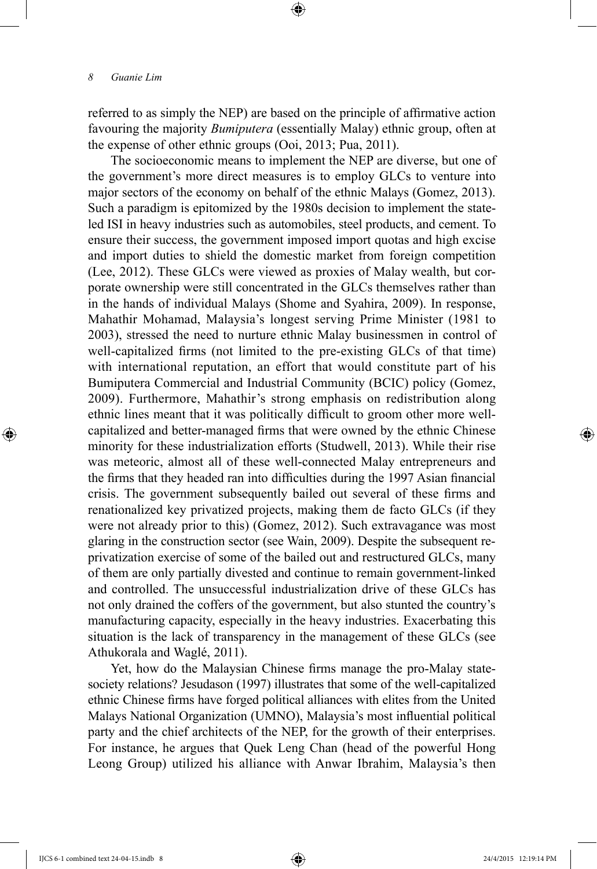referred to as simply the NEP) are based on the principle of affirmative action favouring the majority *Bumiputera* (essentially Malay) ethnic group, often at the expense of other ethnic groups (Ooi, 2013; Pua, 2011).

The socioeconomic means to implement the NEP are diverse, but one of the government's more direct measures is to employ GLCs to venture into major sectors of the economy on behalf of the ethnic Malays (Gomez, 2013). Such a paradigm is epitomized by the 1980s decision to implement the stateled ISI in heavy industries such as automobiles, steel products, and cement. To ensure their success, the government imposed import quotas and high excise and import duties to shield the domestic market from foreign competition (Lee, 2012). These GLCs were viewed as proxies of Malay wealth, but corporate ownership were still concentrated in the GLCs themselves rather than in the hands of individual Malays (Shome and Syahira, 2009). In response, Mahathir Mohamad, Malaysia's longest serving Prime Minister (1981 to 2003), stressed the need to nurture ethnic Malay businessmen in control of well-capitalized firms (not limited to the pre-existing GLCs of that time) with international reputation, an effort that would constitute part of his Bumiputera Commercial and Industrial Community (BCIC) policy (Gomez, 2009). Furthermore, Mahathir's strong emphasis on redistribution along ethnic lines meant that it was politically difficult to groom other more wellcapitalized and better-managed firms that were owned by the ethnic Chinese minority for these industrialization efforts (Studwell, 2013). While their rise was meteoric, almost all of these well-connected Malay entrepreneurs and the firms that they headed ran into difficulties during the 1997 Asian financial crisis. The government subsequently bailed out several of these firms and renationalized key privatized projects, making them de facto GLCs (if they were not already prior to this) (Gomez, 2012). Such extravagance was most glaring in the construction sector (see Wain, 2009). Despite the subsequent reprivatization exercise of some of the bailed out and restructured GLCs, many of them are only partially divested and continue to remain government-linked and controlled. The unsuccessful industrialization drive of these GLCs has not only drained the coffers of the government, but also stunted the country's manufacturing capacity, especially in the heavy industries. Exacerbating this situation is the lack of transparency in the management of these GLCs (see Athukorala and Waglé, 2011).

Yet, how do the Malaysian Chinese firms manage the pro-Malay statesociety relations? Jesudason (1997) illustrates that some of the well-capitalized ethnic Chinese firms have forged political alliances with elites from the United Malays National Organization (UMNO), Malaysia's most influential political party and the chief architects of the NEP, for the growth of their enterprises. For instance, he argues that Quek Leng Chan (head of the powerful Hong Leong Group) utilized his alliance with Anwar Ibrahim, Malaysia's then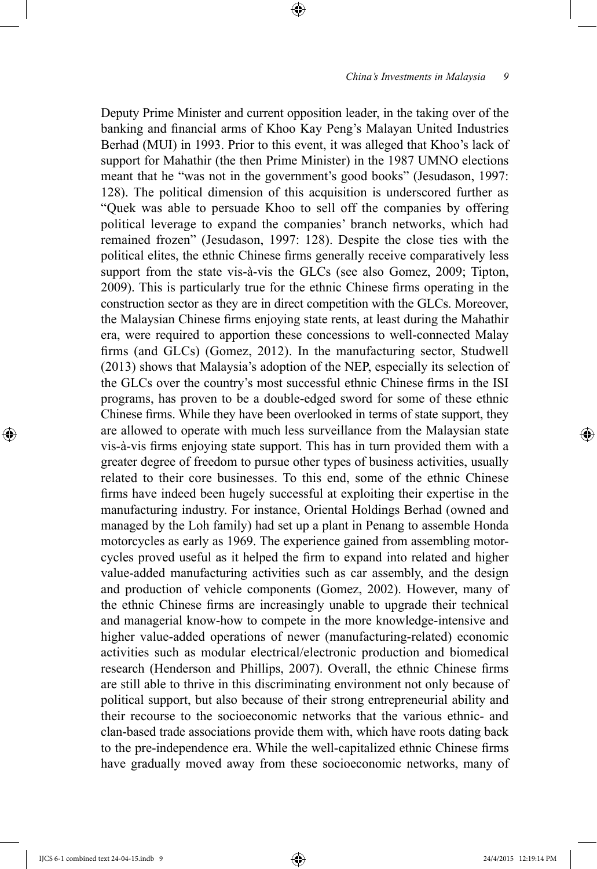Deputy Prime Minister and current opposition leader, in the taking over of the banking and financial arms of Khoo Kay Peng's Malayan United Industries Berhad (MUI) in 1993. Prior to this event, it was alleged that Khoo's lack of support for Mahathir (the then Prime Minister) in the 1987 UMNO elections meant that he "was not in the government's good books" (Jesudason, 1997: 128). The political dimension of this acquisition is underscored further as "Quek was able to persuade Khoo to sell off the companies by offering political leverage to expand the companies' branch networks, which had remained frozen" (Jesudason, 1997: 128). Despite the close ties with the political elites, the ethnic Chinese firms generally receive comparatively less support from the state vis-à-vis the GLCs (see also Gomez, 2009; Tipton, 2009). This is particularly true for the ethnic Chinese firms operating in the construction sector as they are in direct competition with the GLCs. Moreover, the Malaysian Chinese firms enjoying state rents, at least during the Mahathir era, were required to apportion these concessions to well-connected Malay firms (and GLCs) (Gomez, 2012). In the manufacturing sector, Studwell (2013) shows that Malaysia's adoption of the NEP, especially its selection of the GLCs over the country's most successful ethnic Chinese firms in the ISI programs, has proven to be a double-edged sword for some of these ethnic Chinese firms. While they have been overlooked in terms of state support, they are allowed to operate with much less surveillance from the Malaysian state vis-à-vis firms enjoying state support. This has in turn provided them with a greater degree of freedom to pursue other types of business activities, usually related to their core businesses. To this end, some of the ethnic Chinese firms have indeed been hugely successful at exploiting their expertise in the manufacturing industry. For instance, Oriental Holdings Berhad (owned and managed by the Loh family) had set up a plant in Penang to assemble Honda motorcycles as early as 1969. The experience gained from assembling motorcycles proved useful as it helped the firm to expand into related and higher value-added manufacturing activities such as car assembly, and the design and production of vehicle components (Gomez, 2002). However, many of the ethnic Chinese firms are increasingly unable to upgrade their technical and managerial know-how to compete in the more knowledge-intensive and higher value-added operations of newer (manufacturing-related) economic activities such as modular electrical/electronic production and biomedical research (Henderson and Phillips, 2007). Overall, the ethnic Chinese firms are still able to thrive in this discriminating environment not only because of political support, but also because of their strong entrepreneurial ability and their recourse to the socioeconomic networks that the various ethnic- and clan-based trade associations provide them with, which have roots dating back to the pre-independence era. While the well-capitalized ethnic Chinese firms have gradually moved away from these socioeconomic networks, many of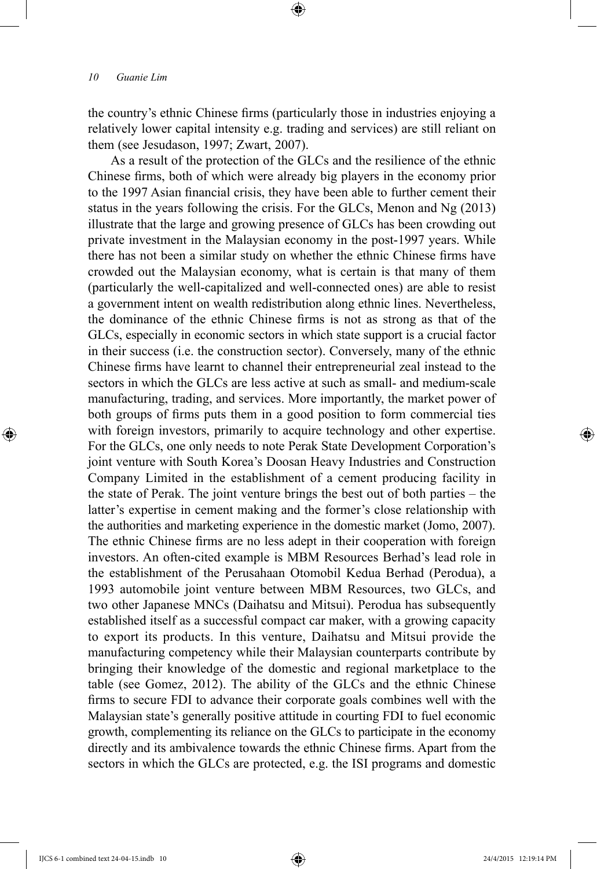the country's ethnic Chinese firms (particularly those in industries enjoying a relatively lower capital intensity e.g. trading and services) are still reliant on them (see Jesudason, 1997; Zwart, 2007).

As a result of the protection of the GLCs and the resilience of the ethnic Chinese firms, both of which were already big players in the economy prior to the 1997 Asian financial crisis, they have been able to further cement their status in the years following the crisis. For the GLCs, Menon and Ng (2013) illustrate that the large and growing presence of GLCs has been crowding out private investment in the Malaysian economy in the post-1997 years. While there has not been a similar study on whether the ethnic Chinese firms have crowded out the Malaysian economy, what is certain is that many of them (particularly the well-capitalized and well-connected ones) are able to resist a government intent on wealth redistribution along ethnic lines. Nevertheless, the dominance of the ethnic Chinese firms is not as strong as that of the GLCs, especially in economic sectors in which state support is a crucial factor in their success (i.e. the construction sector). Conversely, many of the ethnic Chinese firms have learnt to channel their entrepreneurial zeal instead to the sectors in which the GLCs are less active at such as small- and medium-scale manufacturing, trading, and services. More importantly, the market power of both groups of firms puts them in a good position to form commercial ties with foreign investors, primarily to acquire technology and other expertise. For the GLCs, one only needs to note Perak State Development Corporation's joint venture with South Korea's Doosan Heavy Industries and Construction Company Limited in the establishment of a cement producing facility in the state of Perak. The joint venture brings the best out of both parties – the latter's expertise in cement making and the former's close relationship with the authorities and marketing experience in the domestic market (Jomo, 2007). The ethnic Chinese firms are no less adept in their cooperation with foreign investors. An often-cited example is MBM Resources Berhad's lead role in the establishment of the Perusahaan Otomobil Kedua Berhad (Perodua), a 1993 automobile joint venture between MBM Resources, two GLCs, and two other Japanese MNCs (Daihatsu and Mitsui). Perodua has subsequently established itself as a successful compact car maker, with a growing capacity to export its products. In this venture, Daihatsu and Mitsui provide the manufacturing competency while their Malaysian counterparts contribute by bringing their knowledge of the domestic and regional marketplace to the table (see Gomez, 2012). The ability of the GLCs and the ethnic Chinese firms to secure FDI to advance their corporate goals combines well with the Malaysian state's generally positive attitude in courting FDI to fuel economic growth, complementing its reliance on the GLCs to participate in the economy directly and its ambivalence towards the ethnic Chinese firms. Apart from the sectors in which the GLCs are protected, e.g. the ISI programs and domestic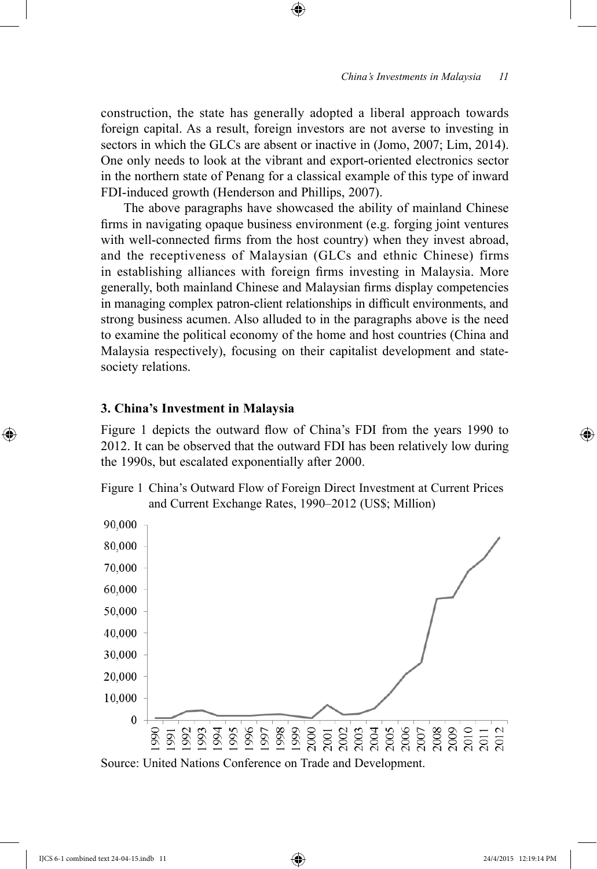construction, the state has generally adopted a liberal approach towards foreign capital. As a result, foreign investors are not averse to investing in sectors in which the GLCs are absent or inactive in (Jomo, 2007; Lim, 2014). One only needs to look at the vibrant and export-oriented electronics sector in the northern state of Penang for a classical example of this type of inward FDI-induced growth (Henderson and Phillips, 2007).

The above paragraphs have showcased the ability of mainland Chinese firms in navigating opaque business environment (e.g. forging joint ventures with well-connected firms from the host country) when they invest abroad, and the receptiveness of Malaysian (GLCs and ethnic Chinese) firms in establishing alliances with foreign firms investing in Malaysia. More generally, both mainland Chinese and Malaysian firms display competencies in managing complex patron-client relationships in difficult environments, and strong business acumen. Also alluded to in the paragraphs above is the need to examine the political economy of the home and host countries (China and Malaysia respectively), focusing on their capitalist development and statesociety relations.

#### **3. China's Investment in Malaysia**

Figure 1 depicts the outward flow of China's FDI from the years 1990 to 2012. It can be observed that the outward FDI has been relatively low during the 1990s, but escalated exponentially after 2000.





Source: United Nations Conference on Trade and Development.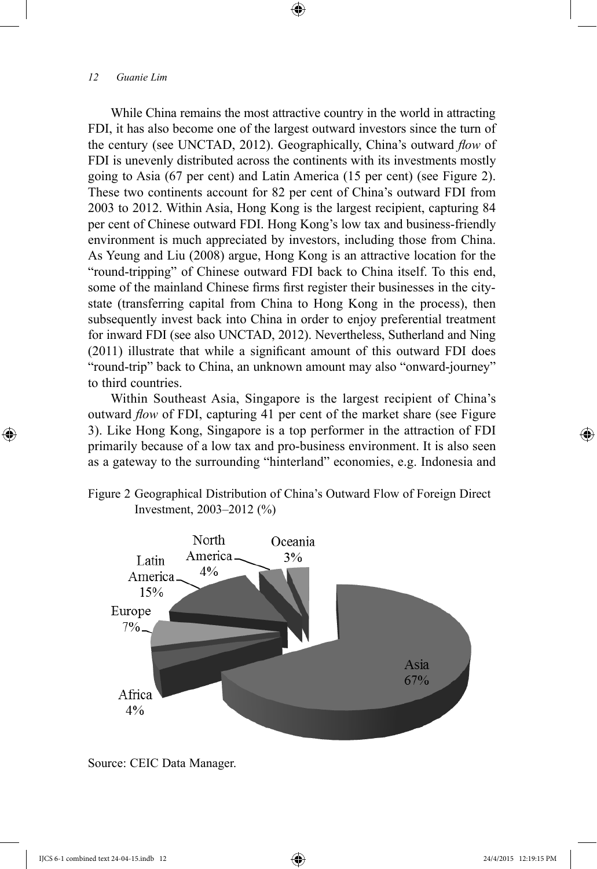While China remains the most attractive country in the world in attracting FDI, it has also become one of the largest outward investors since the turn of the century (see UNCTAD, 2012). Geographically, China's outward *flow* of FDI is unevenly distributed across the continents with its investments mostly going to Asia (67 per cent) and Latin America (15 per cent) (see Figure 2). These two continents account for 82 per cent of China's outward FDI from 2003 to 2012. Within Asia, Hong Kong is the largest recipient, capturing 84 per cent of Chinese outward FDI. Hong Kong's low tax and business-friendly environment is much appreciated by investors, including those from China. As Yeung and Liu (2008) argue, Hong Kong is an attractive location for the "round-tripping" of Chinese outward FDI back to China itself. To this end, some of the mainland Chinese firms first register their businesses in the citystate (transferring capital from China to Hong Kong in the process), then subsequently invest back into China in order to enjoy preferential treatment for inward FDI (see also UNCTAD, 2012). Nevertheless, Sutherland and Ning (2011) illustrate that while a significant amount of this outward FDI does "round-trip" back to China, an unknown amount may also "onward-journey" to third countries.

Within Southeast Asia, Singapore is the largest recipient of China's outward *flow* of FDI, capturing 41 per cent of the market share (see Figure 3). Like Hong Kong, Singapore is a top performer in the attraction of FDI primarily because of a low tax and pro-business environment. It is also seen as a gateway to the surrounding "hinterland" economies, e.g. Indonesia and





Source: CEIC Data Manager.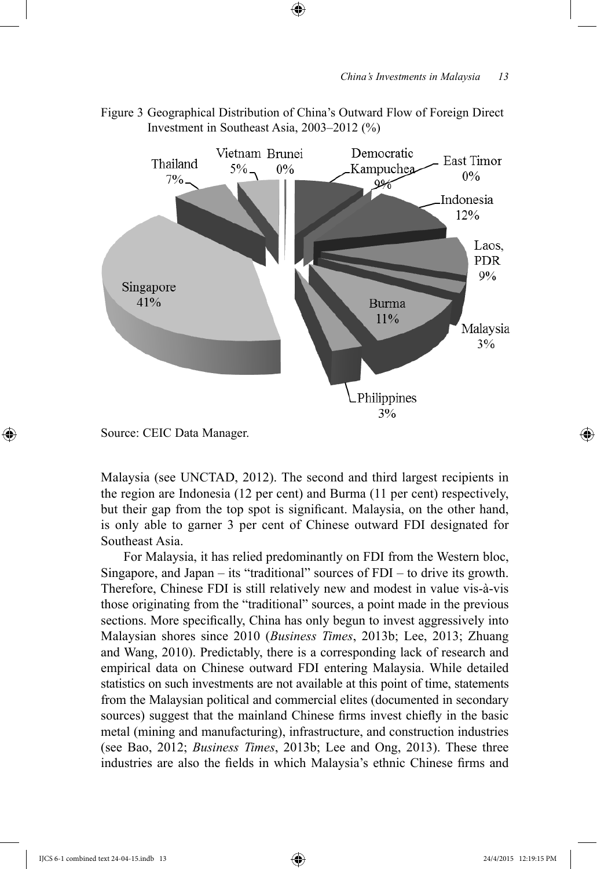

Figure 3 Geographical Distribution of China's Outward Flow of Foreign Direct Investment in Southeast Asia, 2003–2012 (%)

Source: CEIC Data Manager.

Malaysia (see UNCTAD, 2012). The second and third largest recipients in the region are Indonesia (12 per cent) and Burma (11 per cent) respectively, but their gap from the top spot is significant. Malaysia, on the other hand, is only able to garner 3 per cent of Chinese outward FDI designated for Southeast Asia.

For Malaysia, it has relied predominantly on FDI from the Western bloc, Singapore, and Japan – its "traditional" sources of FDI – to drive its growth. Therefore, Chinese FDI is still relatively new and modest in value vis-à-vis those originating from the "traditional" sources, a point made in the previous sections. More specifically, China has only begun to invest aggressively into Malaysian shores since 2010 (*Business Times*, 2013b; Lee, 2013; Zhuang and Wang, 2010). Predictably, there is a corresponding lack of research and empirical data on Chinese outward FDI entering Malaysia. While detailed statistics on such investments are not available at this point of time, statements from the Malaysian political and commercial elites (documented in secondary sources) suggest that the mainland Chinese firms invest chiefly in the basic metal (mining and manufacturing), infrastructure, and construction industries (see Bao, 2012; *Business Times*, 2013b; Lee and Ong, 2013). These three industries are also the fields in which Malaysia's ethnic Chinese firms and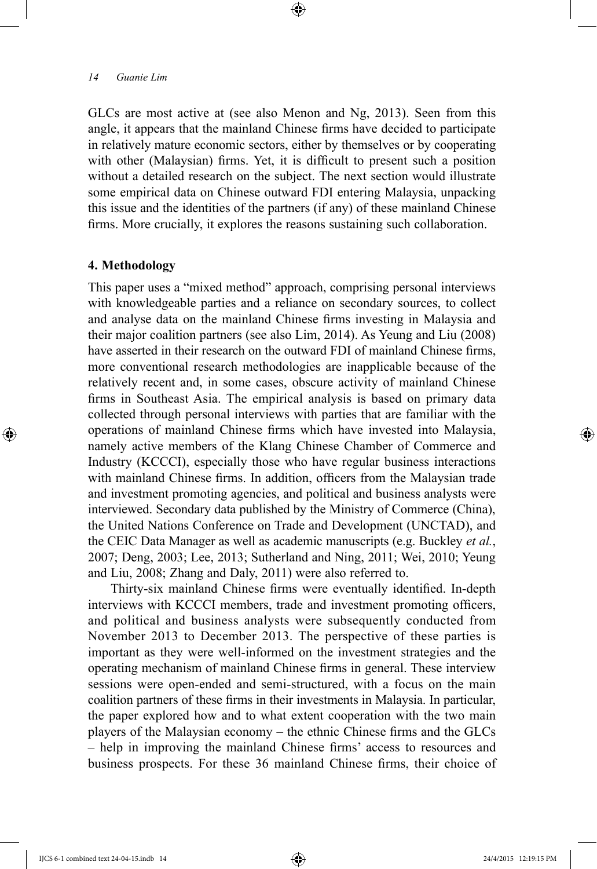GLCs are most active at (see also Menon and Ng, 2013). Seen from this angle, it appears that the mainland Chinese firms have decided to participate in relatively mature economic sectors, either by themselves or by cooperating with other (Malaysian) firms. Yet, it is difficult to present such a position without a detailed research on the subject. The next section would illustrate some empirical data on Chinese outward FDI entering Malaysia, unpacking this issue and the identities of the partners (if any) of these mainland Chinese firms. More crucially, it explores the reasons sustaining such collaboration.

# **4. Methodology**

This paper uses a "mixed method" approach, comprising personal interviews with knowledgeable parties and a reliance on secondary sources, to collect and analyse data on the mainland Chinese firms investing in Malaysia and their major coalition partners (see also Lim, 2014). As Yeung and Liu (2008) have asserted in their research on the outward FDI of mainland Chinese firms, more conventional research methodologies are inapplicable because of the relatively recent and, in some cases, obscure activity of mainland Chinese firms in Southeast Asia. The empirical analysis is based on primary data collected through personal interviews with parties that are familiar with the operations of mainland Chinese firms which have invested into Malaysia, namely active members of the Klang Chinese Chamber of Commerce and Industry (KCCCI), especially those who have regular business interactions with mainland Chinese firms. In addition, officers from the Malaysian trade and investment promoting agencies, and political and business analysts were interviewed. Secondary data published by the Ministry of Commerce (China), the United Nations Conference on Trade and Development (UNCTAD), and the CEIC Data Manager as well as academic manuscripts (e.g. Buckley *et al.*, 2007; Deng, 2003; Lee, 2013; Sutherland and Ning, 2011; Wei, 2010; Yeung and Liu, 2008; Zhang and Daly, 2011) were also referred to.

Thirty-six mainland Chinese firms were eventually identified. In-depth interviews with KCCCI members, trade and investment promoting officers, and political and business analysts were subsequently conducted from November 2013 to December 2013. The perspective of these parties is important as they were well-informed on the investment strategies and the operating mechanism of mainland Chinese firms in general. These interview sessions were open-ended and semi-structured, with a focus on the main coalition partners of these firms in their investments in Malaysia. In particular, the paper explored how and to what extent cooperation with the two main players of the Malaysian economy – the ethnic Chinese firms and the GLCs – help in improving the mainland Chinese firms' access to resources and business prospects. For these 36 mainland Chinese firms, their choice of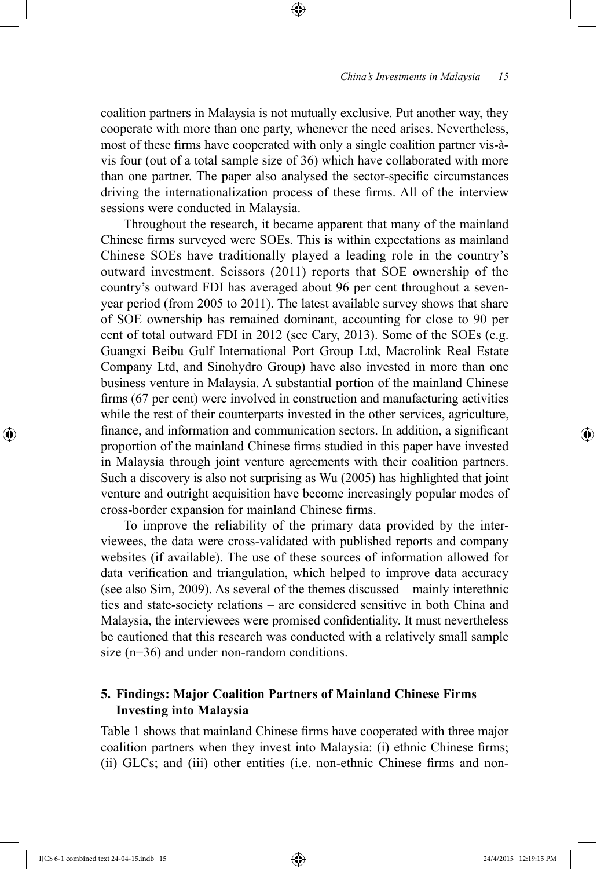coalition partners in Malaysia is not mutually exclusive. Put another way, they cooperate with more than one party, whenever the need arises. Nevertheless, most of these firms have cooperated with only a single coalition partner vis-àvis four (out of a total sample size of 36) which have collaborated with more than one partner. The paper also analysed the sector-specific circumstances driving the internationalization process of these firms. All of the interview sessions were conducted in Malaysia.

Throughout the research, it became apparent that many of the mainland Chinese firms surveyed were SOEs. This is within expectations as mainland Chinese SOEs have traditionally played a leading role in the country's outward investment. Scissors (2011) reports that SOE ownership of the country's outward FDI has averaged about 96 per cent throughout a sevenyear period (from 2005 to 2011). The latest available survey shows that share of SOE ownership has remained dominant, accounting for close to 90 per cent of total outward FDI in 2012 (see Cary, 2013). Some of the SOEs (e.g. Guangxi Beibu Gulf International Port Group Ltd, Macrolink Real Estate Company Ltd, and Sinohydro Group) have also invested in more than one business venture in Malaysia. A substantial portion of the mainland Chinese firms (67 per cent) were involved in construction and manufacturing activities while the rest of their counterparts invested in the other services, agriculture, finance, and information and communication sectors. In addition, a significant proportion of the mainland Chinese firms studied in this paper have invested in Malaysia through joint venture agreements with their coalition partners. Such a discovery is also not surprising as Wu (2005) has highlighted that joint venture and outright acquisition have become increasingly popular modes of cross-border expansion for mainland Chinese firms.

To improve the reliability of the primary data provided by the interviewees, the data were cross-validated with published reports and company websites (if available). The use of these sources of information allowed for data verification and triangulation, which helped to improve data accuracy (see also Sim, 2009). As several of the themes discussed – mainly interethnic ties and state-society relations – are considered sensitive in both China and Malaysia, the interviewees were promised confidentiality. It must nevertheless be cautioned that this research was conducted with a relatively small sample size (n=36) and under non-random conditions.

### **5. Findings: Major Coalition Partners of Mainland Chinese Firms Investing into Malaysia**

Table 1 shows that mainland Chinese firms have cooperated with three major coalition partners when they invest into Malaysia: (i) ethnic Chinese firms; (ii) GLCs; and (iii) other entities (i.e. non-ethnic Chinese firms and non-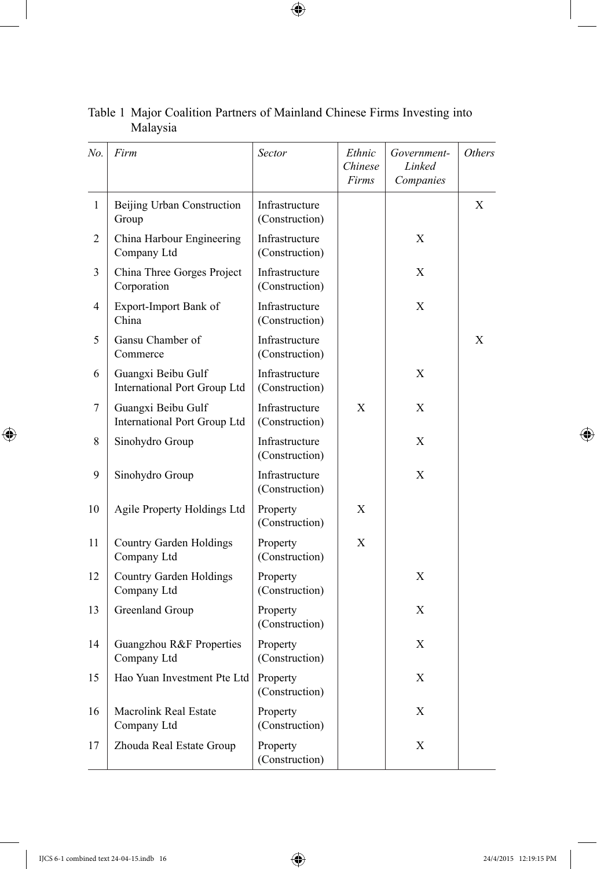| No.          | Firm                                                      | Sector                           | Ethnic<br>Chinese<br>Firms | Government-<br>Linked<br>Companies | Others |
|--------------|-----------------------------------------------------------|----------------------------------|----------------------------|------------------------------------|--------|
| $\mathbf{1}$ | Beijing Urban Construction<br>Group                       | Infrastructure<br>(Construction) |                            |                                    | X      |
| 2            | China Harbour Engineering<br>Company Ltd                  | Infrastructure<br>(Construction) |                            | X                                  |        |
| 3            | China Three Gorges Project<br>Corporation                 | Infrastructure<br>(Construction) |                            | X                                  |        |
| 4            | Export-Import Bank of<br>China                            | Infrastructure<br>(Construction) |                            | X                                  |        |
| 5            | Gansu Chamber of<br>Commerce                              | Infrastructure<br>(Construction) |                            |                                    | X      |
| 6            | Guangxi Beibu Gulf<br><b>International Port Group Ltd</b> | Infrastructure<br>(Construction) |                            | X                                  |        |
| 7            | Guangxi Beibu Gulf<br>International Port Group Ltd        | Infrastructure<br>(Construction) | X                          | X                                  |        |
| 8            | Sinohydro Group                                           | Infrastructure<br>(Construction) |                            | X                                  |        |
| 9            | Sinohydro Group                                           | Infrastructure<br>(Construction) |                            | X                                  |        |
| 10           | Agile Property Holdings Ltd                               | Property<br>(Construction)       | X                          |                                    |        |
| 11           | <b>Country Garden Holdings</b><br>Company Ltd             | Property<br>(Construction)       | X                          |                                    |        |
| 12           | Country Garden Holdings<br>Company Ltd                    | Property<br>(Construction)       |                            | X                                  |        |
| 13           | Greenland Group                                           | Property<br>(Construction)       |                            | X                                  |        |
| 14           | Guangzhou R&F Properties<br>Company Ltd                   | Property<br>(Construction)       |                            | X                                  |        |
| 15           | Hao Yuan Investment Pte Ltd                               | Property<br>(Construction)       |                            | X                                  |        |
| 16           | Macrolink Real Estate<br>Company Ltd                      | Property<br>(Construction)       |                            | X                                  |        |
| 17           | Zhouda Real Estate Group                                  | Property<br>(Construction)       |                            | X                                  |        |

### Table 1 Major Coalition Partners of Mainland Chinese Firms Investing into Malaysia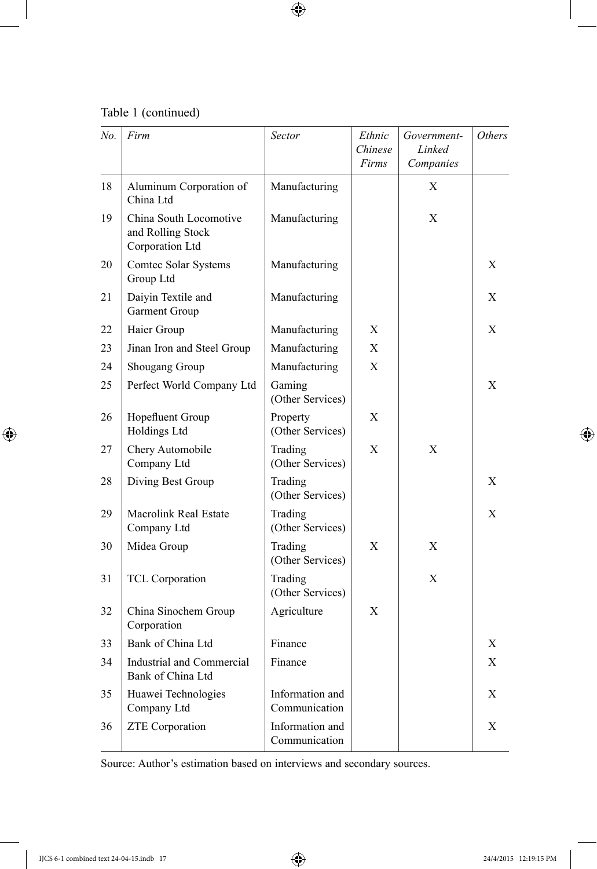Table 1 (continued)

| No. | Firm                                                           | Sector                           | Ethnic<br>Chinese<br>Firms | Government-<br>Linked<br>Companies | Others |
|-----|----------------------------------------------------------------|----------------------------------|----------------------------|------------------------------------|--------|
| 18  | Aluminum Corporation of<br>China Ltd                           | Manufacturing                    |                            | Χ                                  |        |
| 19  | China South Locomotive<br>and Rolling Stock<br>Corporation Ltd | Manufacturing                    |                            | X                                  |        |
| 20  | Comtec Solar Systems<br>Group Ltd                              | Manufacturing                    |                            |                                    | X      |
| 21  | Daiyin Textile and<br>Garment Group                            | Manufacturing                    |                            |                                    | X      |
| 22  | Haier Group                                                    | Manufacturing                    | Χ                          |                                    | X      |
| 23  | Jinan Iron and Steel Group                                     | Manufacturing                    | X                          |                                    |        |
| 24  | Shougang Group                                                 | Manufacturing                    | X                          |                                    |        |
| 25  | Perfect World Company Ltd                                      | Gaming<br>(Other Services)       |                            |                                    | X      |
| 26  | Hopefluent Group<br>Holdings Ltd                               | Property<br>(Other Services)     | X                          |                                    |        |
| 27  | Chery Automobile<br>Company Ltd                                | Trading<br>(Other Services)      | X                          | X                                  |        |
| 28  | Diving Best Group                                              | Trading<br>(Other Services)      |                            |                                    | X      |
| 29  | Macrolink Real Estate<br>Company Ltd                           | Trading<br>(Other Services)      |                            |                                    | X      |
| 30  | Midea Group                                                    | Trading<br>(Other Services)      | X                          | X                                  |        |
| 31  | <b>TCL Corporation</b>                                         | Trading<br>(Other Services)      |                            | X                                  |        |
| 32  | China Sinochem Group<br>Corporation                            | Agriculture                      | X                          |                                    |        |
| 33  | Bank of China Ltd                                              | Finance                          |                            |                                    | X      |
| 34  | <b>Industrial and Commercial</b><br>Bank of China Ltd          | Finance                          |                            |                                    | X      |
| 35  | Huawei Technologies<br>Company Ltd                             | Information and<br>Communication |                            |                                    | X      |
| 36  | <b>ZTE</b> Corporation                                         | Information and<br>Communication |                            |                                    | X      |

Source: Author's estimation based on interviews and secondary sources.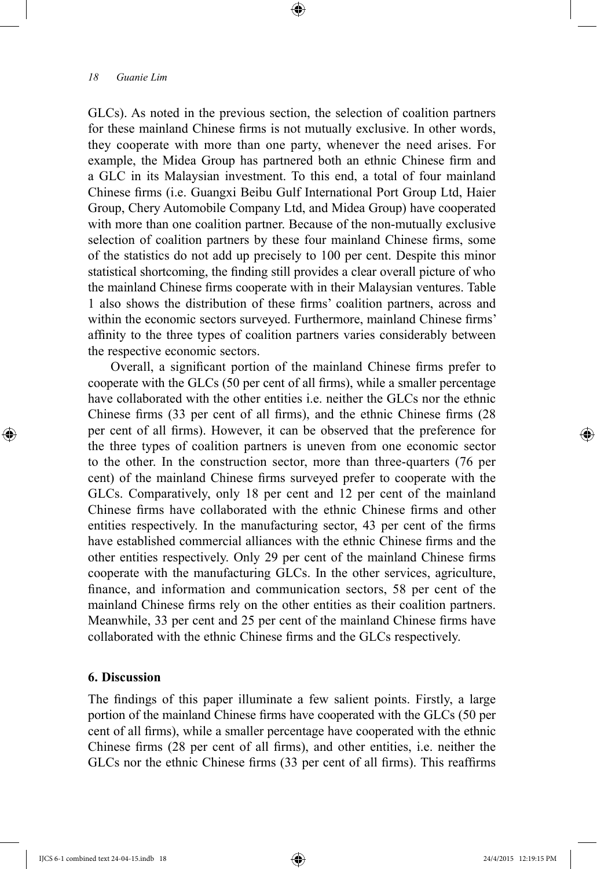GLCs). As noted in the previous section, the selection of coalition partners for these mainland Chinese firms is not mutually exclusive. In other words, they cooperate with more than one party, whenever the need arises. For example, the Midea Group has partnered both an ethnic Chinese firm and a GLC in its Malaysian investment. To this end, a total of four mainland Chinese firms (i.e. Guangxi Beibu Gulf International Port Group Ltd, Haier Group, Chery Automobile Company Ltd, and Midea Group) have cooperated with more than one coalition partner. Because of the non-mutually exclusive selection of coalition partners by these four mainland Chinese firms, some of the statistics do not add up precisely to 100 per cent. Despite this minor statistical shortcoming, the finding still provides a clear overall picture of who the mainland Chinese firms cooperate with in their Malaysian ventures. Table 1 also shows the distribution of these firms' coalition partners, across and within the economic sectors surveyed. Furthermore, mainland Chinese firms' affinity to the three types of coalition partners varies considerably between the respective economic sectors.

Overall, a significant portion of the mainland Chinese firms prefer to cooperate with the GLCs (50 per cent of all firms), while a smaller percentage have collaborated with the other entities i.e. neither the GLCs nor the ethnic Chinese firms (33 per cent of all firms), and the ethnic Chinese firms (28 per cent of all firms). However, it can be observed that the preference for the three types of coalition partners is uneven from one economic sector to the other. In the construction sector, more than three-quarters (76 per cent) of the mainland Chinese firms surveyed prefer to cooperate with the GLCs. Comparatively, only 18 per cent and 12 per cent of the mainland Chinese firms have collaborated with the ethnic Chinese firms and other entities respectively. In the manufacturing sector, 43 per cent of the firms have established commercial alliances with the ethnic Chinese firms and the other entities respectively. Only 29 per cent of the mainland Chinese firms cooperate with the manufacturing GLCs. In the other services, agriculture, finance, and information and communication sectors, 58 per cent of the mainland Chinese firms rely on the other entities as their coalition partners. Meanwhile, 33 per cent and 25 per cent of the mainland Chinese firms have collaborated with the ethnic Chinese firms and the GLCs respectively.

## **6. Discussion**

The findings of this paper illuminate a few salient points. Firstly, a large portion of the mainland Chinese firms have cooperated with the GLCs (50 per cent of all firms), while a smaller percentage have cooperated with the ethnic Chinese firms (28 per cent of all firms), and other entities, i.e. neither the GLCs nor the ethnic Chinese firms (33 per cent of all firms). This reaffirms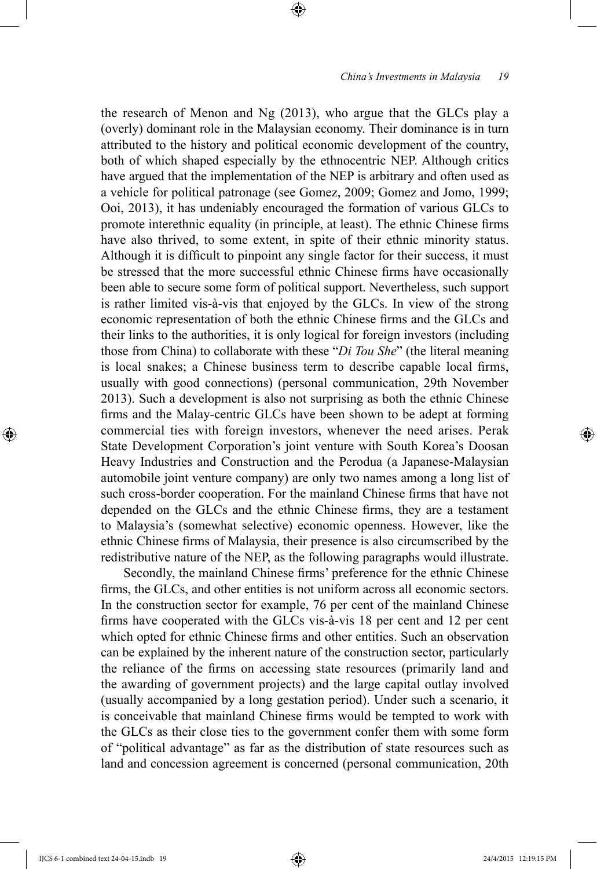the research of Menon and Ng (2013), who argue that the GLCs play a (overly) dominant role in the Malaysian economy. Their dominance is in turn attributed to the history and political economic development of the country, both of which shaped especially by the ethnocentric NEP. Although critics have argued that the implementation of the NEP is arbitrary and often used as a vehicle for political patronage (see Gomez, 2009; Gomez and Jomo, 1999; Ooi, 2013), it has undeniably encouraged the formation of various GLCs to promote interethnic equality (in principle, at least). The ethnic Chinese firms have also thrived, to some extent, in spite of their ethnic minority status. Although it is difficult to pinpoint any single factor for their success, it must be stressed that the more successful ethnic Chinese firms have occasionally been able to secure some form of political support. Nevertheless, such support is rather limited vis-à-vis that enjoyed by the GLCs. In view of the strong economic representation of both the ethnic Chinese firms and the GLCs and their links to the authorities, it is only logical for foreign investors (including those from China) to collaborate with these "*Di Tou She*" (the literal meaning is local snakes; a Chinese business term to describe capable local firms, usually with good connections) (personal communication, 29th November 2013). Such a development is also not surprising as both the ethnic Chinese firms and the Malay-centric GLCs have been shown to be adept at forming commercial ties with foreign investors, whenever the need arises. Perak State Development Corporation's joint venture with South Korea's Doosan Heavy Industries and Construction and the Perodua (a Japanese-Malaysian automobile joint venture company) are only two names among a long list of such cross-border cooperation. For the mainland Chinese firms that have not depended on the GLCs and the ethnic Chinese firms, they are a testament to Malaysia's (somewhat selective) economic openness. However, like the ethnic Chinese firms of Malaysia, their presence is also circumscribed by the redistributive nature of the NEP, as the following paragraphs would illustrate.

Secondly, the mainland Chinese firms' preference for the ethnic Chinese firms, the GLCs, and other entities is not uniform across all economic sectors. In the construction sector for example, 76 per cent of the mainland Chinese firms have cooperated with the GLCs vis-à-vis 18 per cent and 12 per cent which opted for ethnic Chinese firms and other entities. Such an observation can be explained by the inherent nature of the construction sector, particularly the reliance of the firms on accessing state resources (primarily land and the awarding of government projects) and the large capital outlay involved (usually accompanied by a long gestation period). Under such a scenario, it is conceivable that mainland Chinese firms would be tempted to work with the GLCs as their close ties to the government confer them with some form of "political advantage" as far as the distribution of state resources such as land and concession agreement is concerned (personal communication, 20th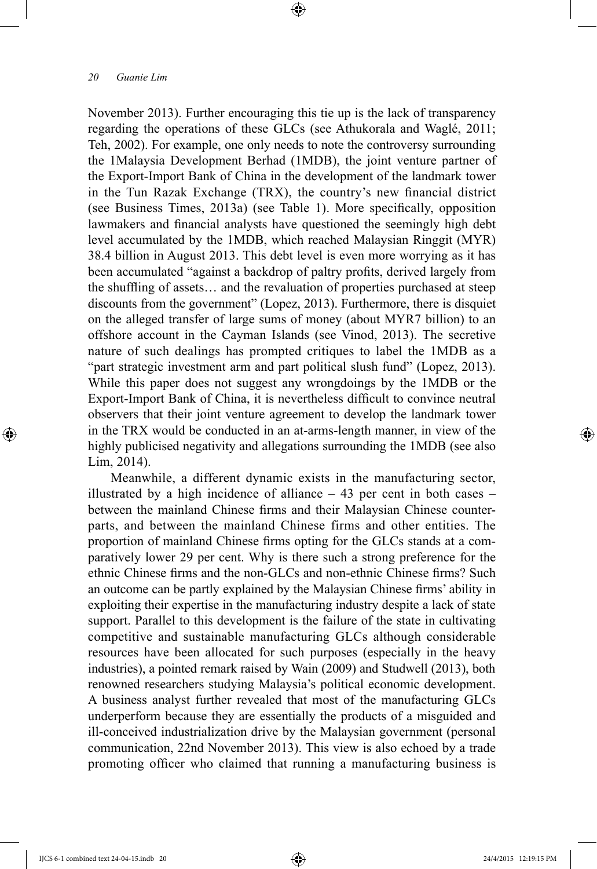November 2013). Further encouraging this tie up is the lack of transparency regarding the operations of these GLCs (see Athukorala and Waglé, 2011; Teh, 2002). For example, one only needs to note the controversy surrounding the 1Malaysia Development Berhad (1MDB), the joint venture partner of the Export-Import Bank of China in the development of the landmark tower in the Tun Razak Exchange (TRX), the country's new financial district (see Business Times, 2013a) (see Table 1). More specifically, opposition lawmakers and financial analysts have questioned the seemingly high debt level accumulated by the 1MDB, which reached Malaysian Ringgit (MYR) 38.4 billion in August 2013. This debt level is even more worrying as it has been accumulated "against a backdrop of paltry profits, derived largely from the shuffling of assets… and the revaluation of properties purchased at steep discounts from the government" (Lopez, 2013). Furthermore, there is disquiet on the alleged transfer of large sums of money (about MYR7 billion) to an offshore account in the Cayman Islands (see Vinod, 2013). The secretive nature of such dealings has prompted critiques to label the 1MDB as a "part strategic investment arm and part political slush fund" (Lopez, 2013). While this paper does not suggest any wrongdoings by the 1MDB or the Export-Import Bank of China, it is nevertheless difficult to convince neutral observers that their joint venture agreement to develop the landmark tower in the TRX would be conducted in an at-arms-length manner, in view of the highly publicised negativity and allegations surrounding the 1MDB (see also Lim, 2014).

Meanwhile, a different dynamic exists in the manufacturing sector, illustrated by a high incidence of alliance  $-43$  per cent in both cases  $$ between the mainland Chinese firms and their Malaysian Chinese counterparts, and between the mainland Chinese firms and other entities. The proportion of mainland Chinese firms opting for the GLCs stands at a comparatively lower 29 per cent. Why is there such a strong preference for the ethnic Chinese firms and the non-GLCs and non-ethnic Chinese firms? Such an outcome can be partly explained by the Malaysian Chinese firms' ability in exploiting their expertise in the manufacturing industry despite a lack of state support. Parallel to this development is the failure of the state in cultivating competitive and sustainable manufacturing GLCs although considerable resources have been allocated for such purposes (especially in the heavy industries), a pointed remark raised by Wain (2009) and Studwell (2013), both renowned researchers studying Malaysia's political economic development. A business analyst further revealed that most of the manufacturing GLCs underperform because they are essentially the products of a misguided and ill-conceived industrialization drive by the Malaysian government (personal communication, 22nd November 2013). This view is also echoed by a trade promoting officer who claimed that running a manufacturing business is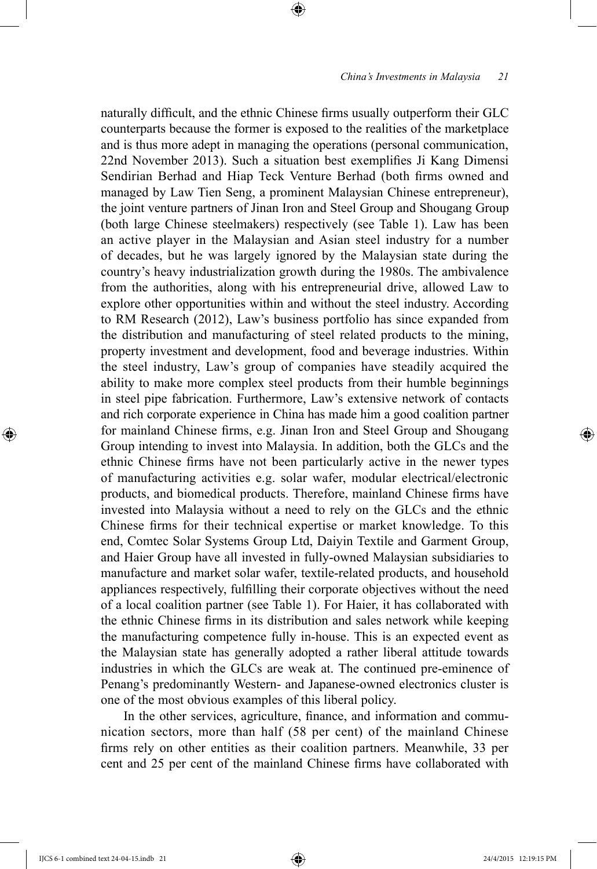naturally difficult, and the ethnic Chinese firms usually outperform their GLC counterparts because the former is exposed to the realities of the marketplace and is thus more adept in managing the operations (personal communication, 22nd November 2013). Such a situation best exemplifies Ji Kang Dimensi Sendirian Berhad and Hiap Teck Venture Berhad (both firms owned and managed by Law Tien Seng, a prominent Malaysian Chinese entrepreneur), the joint venture partners of Jinan Iron and Steel Group and Shougang Group (both large Chinese steelmakers) respectively (see Table 1). Law has been an active player in the Malaysian and Asian steel industry for a number of decades, but he was largely ignored by the Malaysian state during the country's heavy industrialization growth during the 1980s. The ambivalence from the authorities, along with his entrepreneurial drive, allowed Law to explore other opportunities within and without the steel industry. According to RM Research (2012), Law's business portfolio has since expanded from the distribution and manufacturing of steel related products to the mining, property investment and development, food and beverage industries. Within the steel industry, Law's group of companies have steadily acquired the ability to make more complex steel products from their humble beginnings in steel pipe fabrication. Furthermore, Law's extensive network of contacts and rich corporate experience in China has made him a good coalition partner for mainland Chinese firms, e.g. Jinan Iron and Steel Group and Shougang Group intending to invest into Malaysia. In addition, both the GLCs and the ethnic Chinese firms have not been particularly active in the newer types of manufacturing activities e.g. solar wafer, modular electrical/electronic products, and biomedical products. Therefore, mainland Chinese firms have invested into Malaysia without a need to rely on the GLCs and the ethnic Chinese firms for their technical expertise or market knowledge. To this end, Comtec Solar Systems Group Ltd, Daiyin Textile and Garment Group, and Haier Group have all invested in fully-owned Malaysian subsidiaries to manufacture and market solar wafer, textile-related products, and household appliances respectively, fulfilling their corporate objectives without the need of a local coalition partner (see Table 1). For Haier, it has collaborated with the ethnic Chinese firms in its distribution and sales network while keeping the manufacturing competence fully in-house. This is an expected event as the Malaysian state has generally adopted a rather liberal attitude towards industries in which the GLCs are weak at. The continued pre-eminence of Penang's predominantly Western- and Japanese-owned electronics cluster is one of the most obvious examples of this liberal policy.

In the other services, agriculture, finance, and information and communication sectors, more than half (58 per cent) of the mainland Chinese firms rely on other entities as their coalition partners. Meanwhile, 33 per cent and 25 per cent of the mainland Chinese firms have collaborated with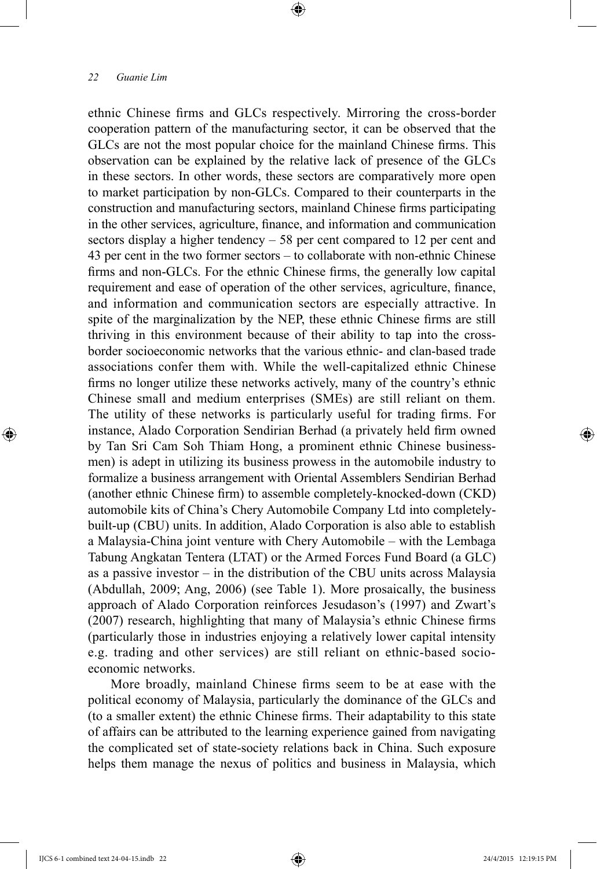ethnic Chinese firms and GLCs respectively. Mirroring the cross-border cooperation pattern of the manufacturing sector, it can be observed that the GLCs are not the most popular choice for the mainland Chinese firms. This observation can be explained by the relative lack of presence of the GLCs in these sectors. In other words, these sectors are comparatively more open to market participation by non-GLCs. Compared to their counterparts in the construction and manufacturing sectors, mainland Chinese firms participating in the other services, agriculture, finance, and information and communication sectors display a higher tendency – 58 per cent compared to 12 per cent and 43 per cent in the two former sectors – to collaborate with non-ethnic Chinese firms and non-GLCs. For the ethnic Chinese firms, the generally low capital requirement and ease of operation of the other services, agriculture, finance, and information and communication sectors are especially attractive. In spite of the marginalization by the NEP, these ethnic Chinese firms are still thriving in this environment because of their ability to tap into the crossborder socioeconomic networks that the various ethnic- and clan-based trade associations confer them with. While the well-capitalized ethnic Chinese firms no longer utilize these networks actively, many of the country's ethnic Chinese small and medium enterprises (SMEs) are still reliant on them. The utility of these networks is particularly useful for trading firms. For instance, Alado Corporation Sendirian Berhad (a privately held firm owned by Tan Sri Cam Soh Thiam Hong, a prominent ethnic Chinese businessmen) is adept in utilizing its business prowess in the automobile industry to formalize a business arrangement with Oriental Assemblers Sendirian Berhad (another ethnic Chinese firm) to assemble completely-knocked-down (CKD) automobile kits of China's Chery Automobile Company Ltd into completelybuilt-up (CBU) units. In addition, Alado Corporation is also able to establish a Malaysia-China joint venture with Chery Automobile – with the Lembaga Tabung Angkatan Tentera (LTAT) or the Armed Forces Fund Board (a GLC) as a passive investor – in the distribution of the CBU units across Malaysia (Abdullah, 2009; Ang, 2006) (see Table 1). More prosaically, the business approach of Alado Corporation reinforces Jesudason's (1997) and Zwart's (2007) research, highlighting that many of Malaysia's ethnic Chinese firms (particularly those in industries enjoying a relatively lower capital intensity e.g. trading and other services) are still reliant on ethnic-based socioeconomic networks.

More broadly, mainland Chinese firms seem to be at ease with the political economy of Malaysia, particularly the dominance of the GLCs and (to a smaller extent) the ethnic Chinese firms. Their adaptability to this state of affairs can be attributed to the learning experience gained from navigating the complicated set of state-society relations back in China. Such exposure helps them manage the nexus of politics and business in Malaysia, which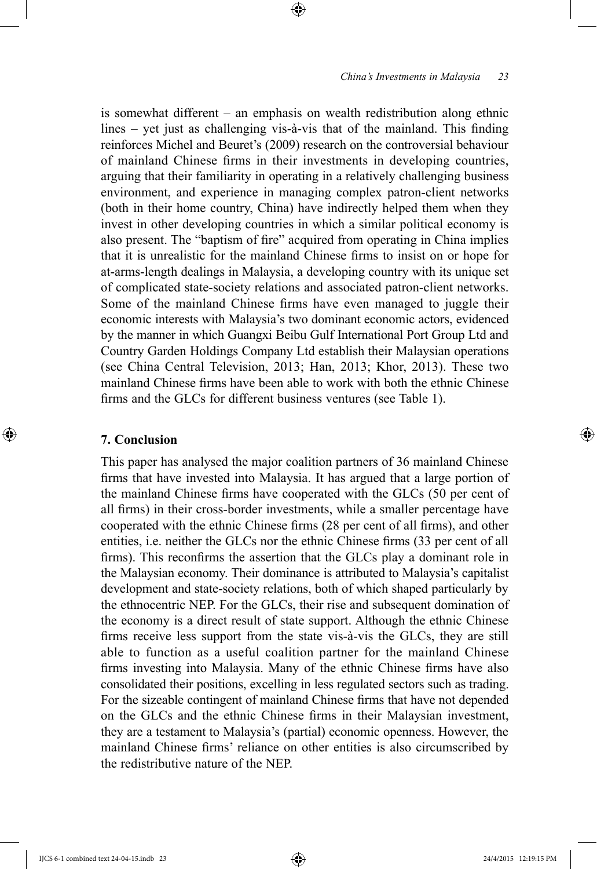is somewhat different – an emphasis on wealth redistribution along ethnic lines – yet just as challenging vis-à-vis that of the mainland. This finding reinforces Michel and Beuret's (2009) research on the controversial behaviour of mainland Chinese firms in their investments in developing countries, arguing that their familiarity in operating in a relatively challenging business environment, and experience in managing complex patron-client networks (both in their home country, China) have indirectly helped them when they invest in other developing countries in which a similar political economy is also present. The "baptism of fire" acquired from operating in China implies that it is unrealistic for the mainland Chinese firms to insist on or hope for at-arms-length dealings in Malaysia, a developing country with its unique set of complicated state-society relations and associated patron-client networks. Some of the mainland Chinese firms have even managed to juggle their economic interests with Malaysia's two dominant economic actors, evidenced by the manner in which Guangxi Beibu Gulf International Port Group Ltd and Country Garden Holdings Company Ltd establish their Malaysian operations (see China Central Television, 2013; Han, 2013; Khor, 2013). These two mainland Chinese firms have been able to work with both the ethnic Chinese firms and the GLCs for different business ventures (see Table 1).

#### **7. Conclusion**

This paper has analysed the major coalition partners of 36 mainland Chinese firms that have invested into Malaysia. It has argued that a large portion of the mainland Chinese firms have cooperated with the GLCs (50 per cent of all firms) in their cross-border investments, while a smaller percentage have cooperated with the ethnic Chinese firms (28 per cent of all firms), and other entities, i.e. neither the GLCs nor the ethnic Chinese firms (33 per cent of all firms). This reconfirms the assertion that the GLCs play a dominant role in the Malaysian economy. Their dominance is attributed to Malaysia's capitalist development and state-society relations, both of which shaped particularly by the ethnocentric NEP. For the GLCs, their rise and subsequent domination of the economy is a direct result of state support. Although the ethnic Chinese firms receive less support from the state vis-à-vis the GLCs, they are still able to function as a useful coalition partner for the mainland Chinese firms investing into Malaysia. Many of the ethnic Chinese firms have also consolidated their positions, excelling in less regulated sectors such as trading. For the sizeable contingent of mainland Chinese firms that have not depended on the GLCs and the ethnic Chinese firms in their Malaysian investment, they are a testament to Malaysia's (partial) economic openness. However, the mainland Chinese firms' reliance on other entities is also circumscribed by the redistributive nature of the NEP.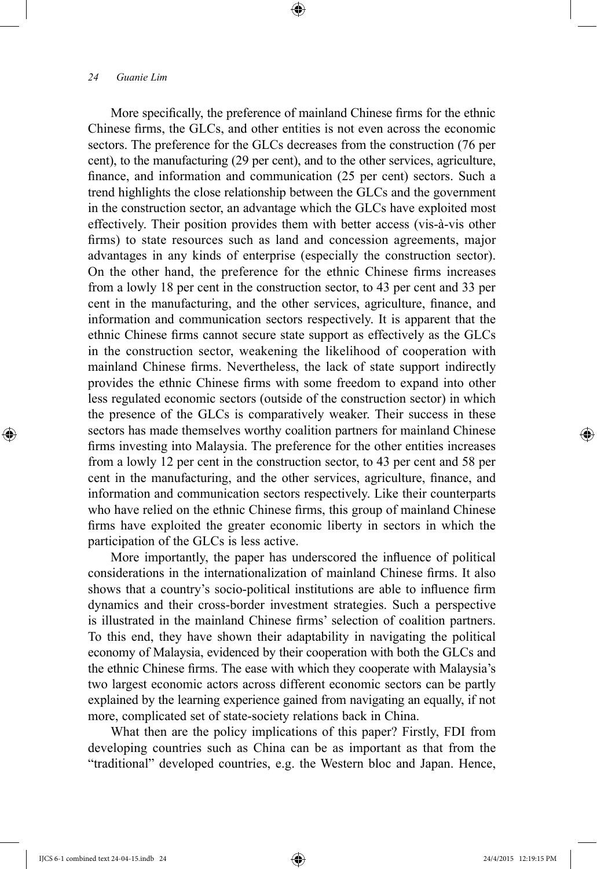More specifically, the preference of mainland Chinese firms for the ethnic Chinese firms, the GLCs, and other entities is not even across the economic sectors. The preference for the GLCs decreases from the construction (76 per cent), to the manufacturing (29 per cent), and to the other services, agriculture, finance, and information and communication (25 per cent) sectors. Such a trend highlights the close relationship between the GLCs and the government in the construction sector, an advantage which the GLCs have exploited most effectively. Their position provides them with better access (vis-à-vis other firms) to state resources such as land and concession agreements, major advantages in any kinds of enterprise (especially the construction sector). On the other hand, the preference for the ethnic Chinese firms increases from a lowly 18 per cent in the construction sector, to 43 per cent and 33 per cent in the manufacturing, and the other services, agriculture, finance, and information and communication sectors respectively. It is apparent that the ethnic Chinese firms cannot secure state support as effectively as the GLCs in the construction sector, weakening the likelihood of cooperation with mainland Chinese firms. Nevertheless, the lack of state support indirectly provides the ethnic Chinese firms with some freedom to expand into other less regulated economic sectors (outside of the construction sector) in which the presence of the GLCs is comparatively weaker. Their success in these sectors has made themselves worthy coalition partners for mainland Chinese firms investing into Malaysia. The preference for the other entities increases from a lowly 12 per cent in the construction sector, to 43 per cent and 58 per cent in the manufacturing, and the other services, agriculture, finance, and information and communication sectors respectively. Like their counterparts who have relied on the ethnic Chinese firms, this group of mainland Chinese firms have exploited the greater economic liberty in sectors in which the participation of the GLCs is less active.

More importantly, the paper has underscored the influence of political considerations in the internationalization of mainland Chinese firms. It also shows that a country's socio-political institutions are able to influence firm dynamics and their cross-border investment strategies. Such a perspective is illustrated in the mainland Chinese firms' selection of coalition partners. To this end, they have shown their adaptability in navigating the political economy of Malaysia, evidenced by their cooperation with both the GLCs and the ethnic Chinese firms. The ease with which they cooperate with Malaysia's two largest economic actors across different economic sectors can be partly explained by the learning experience gained from navigating an equally, if not more, complicated set of state-society relations back in China.

What then are the policy implications of this paper? Firstly, FDI from developing countries such as China can be as important as that from the "traditional" developed countries, e.g. the Western bloc and Japan. Hence,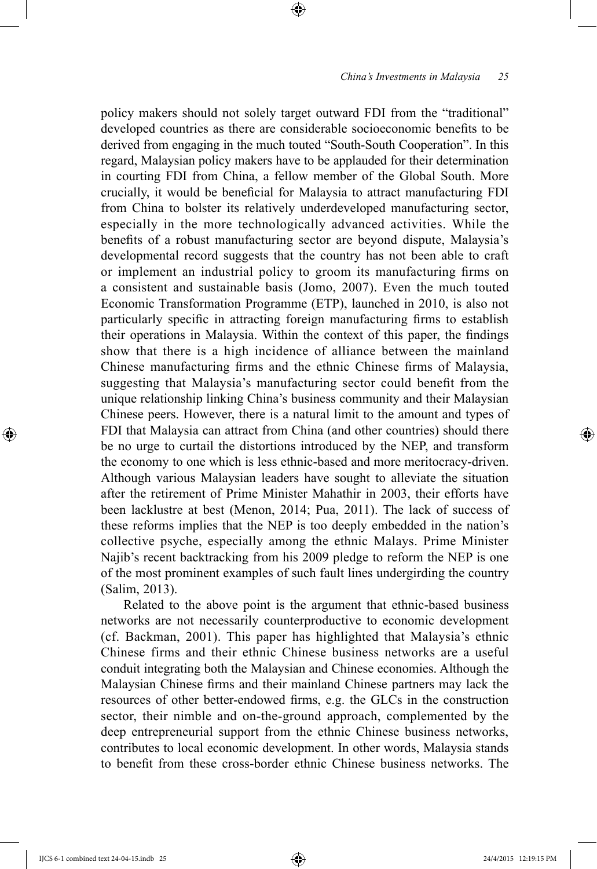policy makers should not solely target outward FDI from the "traditional" developed countries as there are considerable socioeconomic benefits to be derived from engaging in the much touted "South-South Cooperation". In this regard, Malaysian policy makers have to be applauded for their determination in courting FDI from China, a fellow member of the Global South. More crucially, it would be beneficial for Malaysia to attract manufacturing FDI from China to bolster its relatively underdeveloped manufacturing sector, especially in the more technologically advanced activities. While the benefits of a robust manufacturing sector are beyond dispute, Malaysia's developmental record suggests that the country has not been able to craft or implement an industrial policy to groom its manufacturing firms on a consistent and sustainable basis (Jomo, 2007). Even the much touted Economic Transformation Programme (ETP), launched in 2010, is also not particularly specific in attracting foreign manufacturing firms to establish their operations in Malaysia. Within the context of this paper, the findings show that there is a high incidence of alliance between the mainland Chinese manufacturing firms and the ethnic Chinese firms of Malaysia, suggesting that Malaysia's manufacturing sector could benefit from the unique relationship linking China's business community and their Malaysian Chinese peers. However, there is a natural limit to the amount and types of FDI that Malaysia can attract from China (and other countries) should there be no urge to curtail the distortions introduced by the NEP, and transform the economy to one which is less ethnic-based and more meritocracy-driven. Although various Malaysian leaders have sought to alleviate the situation after the retirement of Prime Minister Mahathir in 2003, their efforts have been lacklustre at best (Menon, 2014; Pua, 2011). The lack of success of these reforms implies that the NEP is too deeply embedded in the nation's collective psyche, especially among the ethnic Malays. Prime Minister Najib's recent backtracking from his 2009 pledge to reform the NEP is one of the most prominent examples of such fault lines undergirding the country (Salim, 2013).

Related to the above point is the argument that ethnic-based business networks are not necessarily counterproductive to economic development (cf. Backman, 2001). This paper has highlighted that Malaysia's ethnic Chinese firms and their ethnic Chinese business networks are a useful conduit integrating both the Malaysian and Chinese economies. Although the Malaysian Chinese firms and their mainland Chinese partners may lack the resources of other better-endowed firms, e.g. the GLCs in the construction sector, their nimble and on-the-ground approach, complemented by the deep entrepreneurial support from the ethnic Chinese business networks, contributes to local economic development. In other words, Malaysia stands to benefit from these cross-border ethnic Chinese business networks. The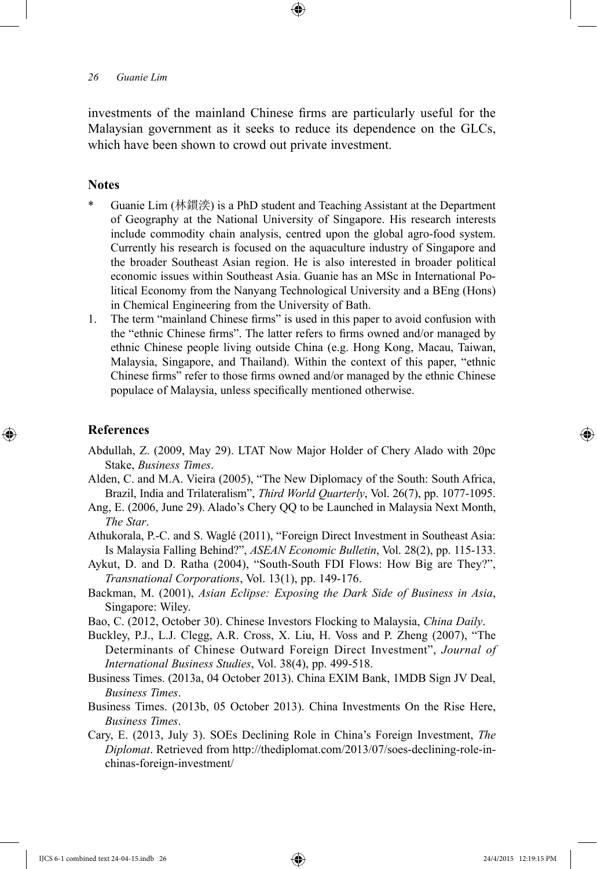investments of the mainland Chinese firms are particularly useful for the Malaysian government as it seeks to reduce its dependence on the GLCs, which have been shown to crowd out private investment.

# **Notes**

- \* Guanie Lim (林鏆湙) is a PhD student and Teaching Assistant at the Department of Geography at the National University of Singapore. His research interests include commodity chain analysis, centred upon the global agro-food system. Currently his research is focused on the aquaculture industry of Singapore and the broader Southeast Asian region. He is also interested in broader political economic issues within Southeast Asia. Guanie has an MSc in International Political Economy from the Nanyang Technological University and a BEng (Hons) in Chemical Engineering from the University of Bath.
- 1. The term "mainland Chinese firms" is used in this paper to avoid confusion with the "ethnic Chinese firms". The latter refers to firms owned and/or managed by ethnic Chinese people living outside China (e.g. Hong Kong, Macau, Taiwan, Malaysia, Singapore, and Thailand). Within the context of this paper, "ethnic Chinese firms" refer to those firms owned and/or managed by the ethnic Chinese populace of Malaysia, unless specifically mentioned otherwise.

# **References**

- Abdullah, Z. (2009, May 29). LTAT Now Major Holder of Chery Alado with 20pc Stake, *Business Times*.
- Alden, C. and M.A. Vieira (2005), "The New Diplomacy of the South: South Africa, Brazil, India and Trilateralism", *Third World Quarterly*, Vol. 26(7), pp. 1077-1095.
- Ang, E. (2006, June 29). Alado's Chery QQ to be Launched in Malaysia Next Month, *The Star*.
- Athukorala, P.-C. and S. Waglé (2011), "Foreign Direct Investment in Southeast Asia: Is Malaysia Falling Behind?", *ASEAN Economic Bulletin*, Vol. 28(2), pp. 115-133.
- Aykut, D. and D. Ratha (2004), "South-South FDI Flows: How Big are They?", *Transnational Corporations*, Vol. 13(1), pp. 149-176.
- Backman, M. (2001), *Asian Eclipse: Exposing the Dark Side of Business in Asia*, Singapore: Wiley.
- Bao, C. (2012, October 30). Chinese Investors Flocking to Malaysia, *China Daily*.
- Buckley, P.J., L.J. Clegg, A.R. Cross, X. Liu, H. Voss and P. Zheng (2007), "The Determinants of Chinese Outward Foreign Direct Investment", *Journal of International Business Studies*, Vol. 38(4), pp. 499-518.
- Business Times. (2013a, 04 October 2013). China EXIM Bank, 1MDB Sign JV Deal, *Business Times*.
- Business Times. (2013b, 05 October 2013). China Investments On the Rise Here, *Business Times*.
- Cary, E. (2013, July 3). SOEs Declining Role in China's Foreign Investment, *The Diplomat*. Retrieved from http://thediplomat.com/2013/07/soes-declining-role-inchinas-foreign-investment/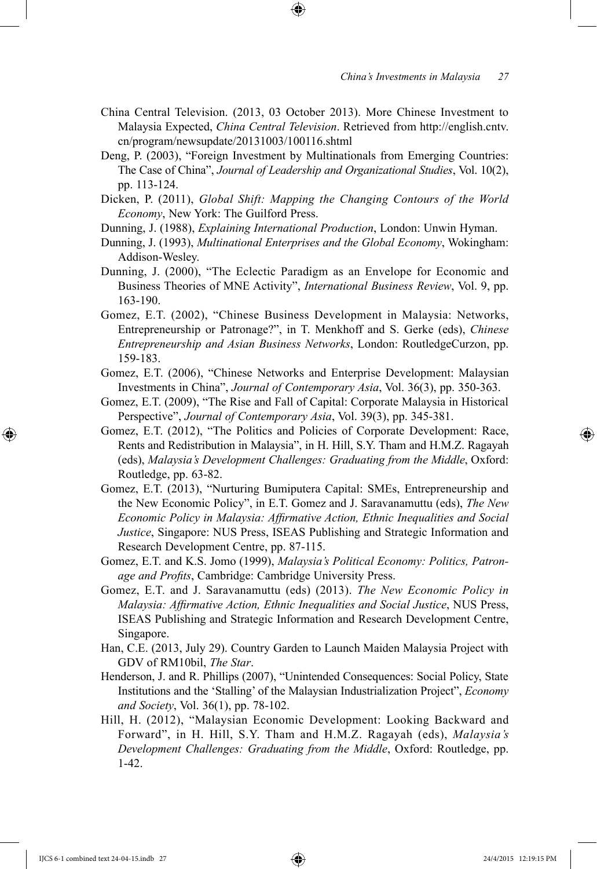- China Central Television. (2013, 03 October 2013). More Chinese Investment to Malaysia Expected, *China Central Television*. Retrieved from http://english.cntv. cn/program/newsupdate/20131003/100116.shtml
- Deng, P. (2003), "Foreign Investment by Multinationals from Emerging Countries: The Case of China", *Journal of Leadership and Organizational Studies*, Vol. 10(2), pp. 113-124.
- Dicken, P. (2011), *Global Shift: Mapping the Changing Contours of the World Economy*, New York: The Guilford Press.
- Dunning, J. (1988), *Explaining International Production*, London: Unwin Hyman.
- Dunning, J. (1993), *Multinational Enterprises and the Global Economy*, Wokingham: Addison-Wesley.
- Dunning, J. (2000), "The Eclectic Paradigm as an Envelope for Economic and Business Theories of MNE Activity", *International Business Review*, Vol. 9, pp. 163-190.
- Gomez, E.T. (2002), "Chinese Business Development in Malaysia: Networks, Entrepreneurship or Patronage?", in T. Menkhoff and S. Gerke (eds), *Chinese Entrepreneurship and Asian Business Networks*, London: RoutledgeCurzon, pp. 159-183.
- Gomez, E.T. (2006), "Chinese Networks and Enterprise Development: Malaysian Investments in China", *Journal of Contemporary Asia*, Vol. 36(3), pp. 350-363.
- Gomez, E.T. (2009), "The Rise and Fall of Capital: Corporate Malaysia in Historical Perspective", *Journal of Contemporary Asia*, Vol. 39(3), pp. 345-381.
- Gomez, E.T. (2012), "The Politics and Policies of Corporate Development: Race, Rents and Redistribution in Malaysia", in H. Hill, S.Y. Tham and H.M.Z. Ragayah (eds), *Malaysia's Development Challenges: Graduating from the Middle*, Oxford: Routledge, pp. 63-82.
- Gomez, E.T. (2013), "Nurturing Bumiputera Capital: SMEs, Entrepreneurship and the New Economic Policy", in E.T. Gomez and J. Saravanamuttu (eds), *The New Economic Policy in Malaysia: Affirmative Action, Ethnic Inequalities and Social Justice*, Singapore: NUS Press, ISEAS Publishing and Strategic Information and Research Development Centre, pp. 87-115.
- Gomez, E.T. and K.S. Jomo (1999), *Malaysia's Political Economy: Politics, Patronage and Profits*, Cambridge: Cambridge University Press.
- Gomez, E.T. and J. Saravanamuttu (eds) (2013). *The New Economic Policy in Malaysia: Affirmative Action, Ethnic Inequalities and Social Justice*, NUS Press, ISEAS Publishing and Strategic Information and Research Development Centre, Singapore.
- Han, C.E. (2013, July 29). Country Garden to Launch Maiden Malaysia Project with GDV of RM10bil, *The Star*.
- Henderson, J. and R. Phillips (2007), "Unintended Consequences: Social Policy, State Institutions and the 'Stalling' of the Malaysian Industrialization Project", *Economy and Society*, Vol. 36(1), pp. 78-102.
- Hill, H. (2012), "Malaysian Economic Development: Looking Backward and Forward", in H. Hill, S.Y. Tham and H.M.Z. Ragayah (eds), *Malaysia's Development Challenges: Graduating from the Middle*, Oxford: Routledge, pp. 1-42.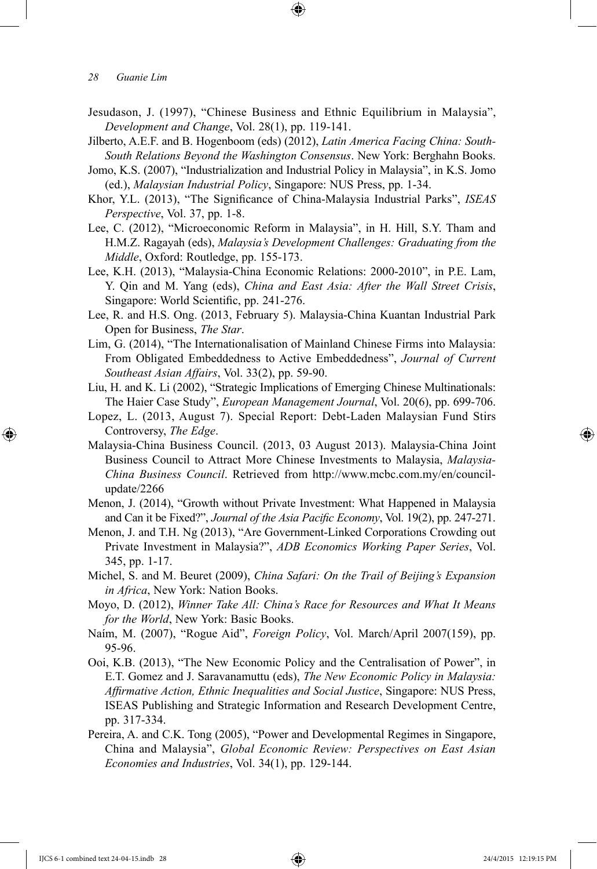- Jesudason, J. (1997), "Chinese Business and Ethnic Equilibrium in Malaysia", *Development and Change*, Vol. 28(1), pp. 119-141.
- Jilberto, A.E.F. and B. Hogenboom (eds) (2012), *Latin America Facing China: South-South Relations Beyond the Washington Consensus*. New York: Berghahn Books.
- Jomo, K.S. (2007), "Industrialization and Industrial Policy in Malaysia", in K.S. Jomo (ed.), *Malaysian Industrial Policy*, Singapore: NUS Press, pp. 1-34.
- Khor, Y.L. (2013), "The Significance of China-Malaysia Industrial Parks", *ISEAS Perspective*, Vol. 37, pp. 1-8.
- Lee, C. (2012), "Microeconomic Reform in Malaysia", in H. Hill, S.Y. Tham and H.M.Z. Ragayah (eds), *Malaysia's Development Challenges: Graduating from the Middle*, Oxford: Routledge, pp. 155-173.
- Lee, K.H. (2013), "Malaysia-China Economic Relations: 2000-2010", in P.E. Lam, Y. Qin and M. Yang (eds), *China and East Asia: After the Wall Street Crisis*, Singapore: World Scientific, pp. 241-276.
- Lee, R. and H.S. Ong. (2013, February 5). Malaysia-China Kuantan Industrial Park Open for Business, *The Star*.
- Lim, G. (2014), "The Internationalisation of Mainland Chinese Firms into Malaysia: From Obligated Embeddedness to Active Embeddedness", *Journal of Current Southeast Asian Affairs*, Vol. 33(2), pp. 59-90.
- Liu, H. and K. Li (2002), "Strategic Implications of Emerging Chinese Multinationals: The Haier Case Study", *European Management Journal*, Vol. 20(6), pp. 699-706.
- Lopez, L. (2013, August 7). Special Report: Debt-Laden Malaysian Fund Stirs Controversy, *The Edge*.
- Malaysia-China Business Council. (2013, 03 August 2013). Malaysia-China Joint Business Council to Attract More Chinese Investments to Malaysia, *Malaysia-China Business Council*. Retrieved from http://www.mcbc.com.my/en/councilupdate/2266
- Menon, J. (2014), "Growth without Private Investment: What Happened in Malaysia and Can it be Fixed?", *Journal of the Asia Pacific Economy*, Vol. 19(2), pp. 247-271.
- Menon, J. and T.H. Ng (2013), "Are Government-Linked Corporations Crowding out Private Investment in Malaysia?", *ADB Economics Working Paper Series*, Vol. 345, pp. 1-17.
- Michel, S. and M. Beuret (2009), *China Safari: On the Trail of Beijing's Expansion in Africa*, New York: Nation Books.
- Moyo, D. (2012), *Winner Take All: China's Race for Resources and What It Means for the World*, New York: Basic Books.
- Naím, M. (2007), "Rogue Aid", *Foreign Policy*, Vol. March/April 2007(159), pp. 95-96.
- Ooi, K.B. (2013), "The New Economic Policy and the Centralisation of Power", in E.T. Gomez and J. Saravanamuttu (eds), *The New Economic Policy in Malaysia: Affirmative Action, Ethnic Inequalities and Social Justice*, Singapore: NUS Press, ISEAS Publishing and Strategic Information and Research Development Centre, pp. 317-334.
- Pereira, A. and C.K. Tong (2005), "Power and Developmental Regimes in Singapore, China and Malaysia", *Global Economic Review: Perspectives on East Asian Economies and Industries*, Vol. 34(1), pp. 129-144.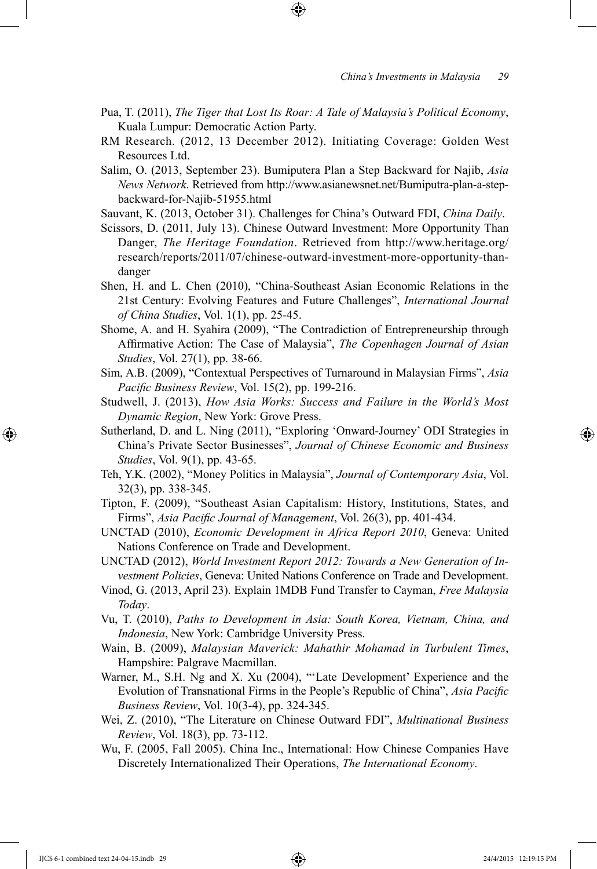- Pua, T. (2011), *The Tiger that Lost Its Roar: A Tale of Malaysia's Political Economy*, Kuala Lumpur: Democratic Action Party.
- RM Research. (2012, 13 December 2012). Initiating Coverage: Golden West Resources Ltd.
- Salim, O. (2013, September 23). Bumiputera Plan a Step Backward for Najib, *Asia News Network*. Retrieved from http://www.asianewsnet.net/Bumiputra-plan-a-stepbackward-for-Najib-51955.html
- Sauvant, K. (2013, October 31). Challenges for China's Outward FDI, *China Daily*.
- Scissors, D. (2011, July 13). Chinese Outward Investment: More Opportunity Than Danger, *The Heritage Foundation*. Retrieved from http://www.heritage.org/ research/reports/2011/07/chinese-outward-investment-more-opportunity-thandanger
- Shen, H. and L. Chen (2010), "China-Southeast Asian Economic Relations in the 21st Century: Evolving Features and Future Challenges", *International Journal of China Studies*, Vol. 1(1), pp. 25-45.
- Shome, A. and H. Syahira (2009), "The Contradiction of Entrepreneurship through Affirmative Action: The Case of Malaysia", *The Copenhagen Journal of Asian Studies*, Vol. 27(1), pp. 38-66.
- Sim, A.B. (2009), "Contextual Perspectives of Turnaround in Malaysian Firms", *Asia Pacific Business Review*, Vol. 15(2), pp. 199-216.
- Studwell, J. (2013), *How Asia Works: Success and Failure in the World's Most Dynamic Region*, New York: Grove Press.
- Sutherland, D. and L. Ning (2011), "Exploring 'Onward-Journey' ODI Strategies in China's Private Sector Businesses", *Journal of Chinese Economic and Business Studies*, Vol. 9(1), pp. 43-65.
- Teh, Y.K. (2002), "Money Politics in Malaysia", *Journal of Contemporary Asia*, Vol. 32(3), pp. 338-345.
- Tipton, F. (2009), "Southeast Asian Capitalism: History, Institutions, States, and Firms", *Asia Pacific Journal of Management*, Vol. 26(3), pp. 401-434.
- UNCTAD (2010), *Economic Development in Africa Report 2010*, Geneva: United Nations Conference on Trade and Development.
- UNCTAD (2012), *World Investment Report 2012: Towards a New Generation of Investment Policies*, Geneva: United Nations Conference on Trade and Development.
- Vinod, G. (2013, April 23). Explain 1MDB Fund Transfer to Cayman, *Free Malaysia Today*.
- Vu, T. (2010), *Paths to Development in Asia: South Korea, Vietnam, China, and Indonesia*, New York: Cambridge University Press.
- Wain, B. (2009), *Malaysian Maverick: Mahathir Mohamad in Turbulent Times*, Hampshire: Palgrave Macmillan.
- Warner, M., S.H. Ng and X. Xu (2004), "'Late Development' Experience and the Evolution of Transnational Firms in the People's Republic of China", *Asia Pacific Business Review*, Vol. 10(3-4), pp. 324-345.
- Wei, Z. (2010), "The Literature on Chinese Outward FDI", *Multinational Business Review*, Vol. 18(3), pp. 73-112.
- Wu, F. (2005, Fall 2005). China Inc., International: How Chinese Companies Have Discretely Internationalized Their Operations, *The International Economy*.